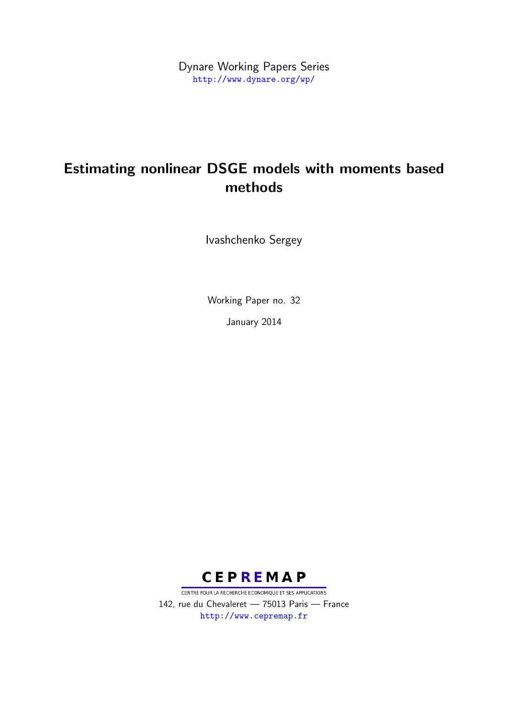Dynare Working Papers Series <http://www.dynare.org/wp/>

# Estimating nonlinear DSGE models with moments based methods

Ivashchenko Sergey

Working Paper no. 32

January 2014



CENTRE POUR LA RECHERCHE ECONOMIQUE ET SES APPLICATIONS 142, rue du Chevaleret — 75013 Paris — France <http://www.cepremap.fr>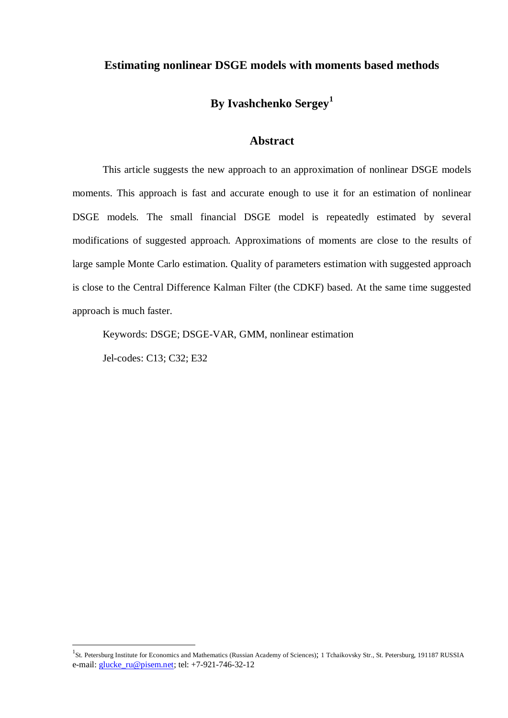#### **Estimating nonlinear DSGE models with moments based methods**

# **By Ivashchenko Sergey<sup>1</sup>**

#### **Abstract**

This article suggests the new approach to an approximation of nonlinear DSGE models moments. This approach is fast and accurate enough to use it for an estimation of nonlinear DSGE models. The small financial DSGE model is repeatedly estimated by several modifications of suggested approach. Approximations of moments are close to the results of large sample Monte Carlo estimation. Quality of parameters estimation with suggested approach is close to the Central Difference Kalman Filter (the CDKF) based. At the same time suggested approach is much faster.

Keywords: DSGE; DSGE-VAR, GMM, nonlinear estimation

Jel-codes: C13; C32; E32

<sup>&</sup>lt;sup>1</sup>St. Petersburg Institute for Economics and Mathematics (Russian Academy of Sciences); 1 Tchaikovsky Str., St. Petersburg, 191187 RUSSIA e-mail: [glucke\\_ru@pisem.net;](mailto:glucke_ru@pisem.net) tel: +7-921-746-32-12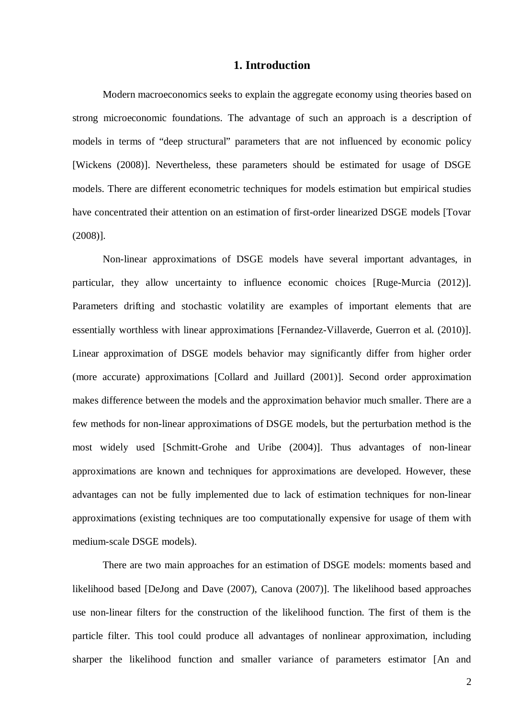### **1. Introduction**

Modern macroeconomics seeks to explain the aggregate economy using theories based on strong microeconomic foundations. The advantage of such an approach is a description of models in terms of "deep structural" parameters that are not influenced by economic policy [Wickens (2008)]. Nevertheless, these parameters should be estimated for usage of DSGE models. There are different econometric techniques for models estimation but empirical studies have concentrated their attention on an estimation of first-order linearized DSGE models [Tovar (2008)].

Non-linear approximations of DSGE models have several important advantages, in particular, they allow uncertainty to influence economic choices [Ruge-Murcia (2012)]. Parameters drifting and stochastic volatility are examples of important elements that are essentially worthless with linear approximations [Fernandez-Villaverde, Guerron et al. (2010)]. Linear approximation of DSGE models behavior may significantly differ from higher order (more accurate) approximations [Collard and Juillard (2001)]. Second order approximation makes difference between the models and the approximation behavior much smaller. There are a few methods for non-linear approximations of DSGE models, but the perturbation method is the most widely used [Schmitt-Grohe and Uribe (2004)]. Thus advantages of non-linear approximations are known and techniques for approximations are developed. However, these advantages can not be fully implemented due to lack of estimation techniques for non-linear approximations (existing techniques are too computationally expensive for usage of them with medium-scale DSGE models).

There are two main approaches for an estimation of DSGE models: moments based and likelihood based [DeJong and Dave (2007), Canova (2007)]. The likelihood based approaches use non-linear filters for the construction of the likelihood function. The first of them is the particle filter. This tool could produce all advantages of nonlinear approximation, including sharper the likelihood function and smaller variance of parameters estimator [An and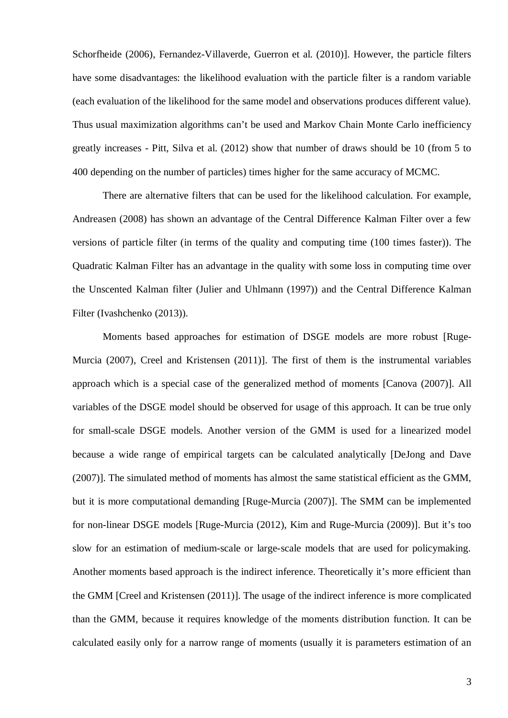Schorfheide (2006), Fernandez-Villaverde, Guerron et al. (2010)]. However, the particle filters have some disadvantages: the likelihood evaluation with the particle filter is a random variable (each evaluation of the likelihood for the same model and observations produces different value). Thus usual maximization algorithms can't be used and Markov Chain Monte Carlo inefficiency greatly increases - Pitt, Silva et al. (2012) show that number of draws should be 10 (from 5 to 400 depending on the number of particles) times higher for the same accuracy of MCMC.

There are alternative filters that can be used for the likelihood calculation. For example, Andreasen (2008) has shown an advantage of the Central Difference Kalman Filter over a few versions of particle filter (in terms of the quality and computing time (100 times faster)). The Quadratic Kalman Filter has an advantage in the quality with some loss in computing time over the Unscented Kalman filter (Julier and Uhlmann (1997)) and the Central Difference Kalman Filter (Ivashchenko (2013)).

Moments based approaches for estimation of DSGE models are more robust [Ruge-Murcia (2007), Creel and Kristensen (2011)]. The first of them is the instrumental variables approach which is a special case of the generalized method of moments [Canova (2007)]. All variables of the DSGE model should be observed for usage of this approach. It can be true only for small-scale DSGE models. Another version of the GMM is used for a linearized model because a wide range of empirical targets can be calculated analytically [DeJong and Dave (2007)]. The simulated method of moments has almost the same statistical efficient as the GMM, but it is more computational demanding [Ruge-Murcia (2007)]. The SMM can be implemented for non-linear DSGE models [Ruge-Murcia (2012), Kim and Ruge-Murcia (2009)]. But it's too slow for an estimation of medium-scale or large-scale models that are used for policymaking. Another moments based approach is the indirect inference. Theoretically it's more efficient than the GMM [Creel and Kristensen (2011)]. The usage of the indirect inference is more complicated than the GMM, because it requires knowledge of the moments distribution function. It can be calculated easily only for a narrow range of moments (usually it is parameters estimation of an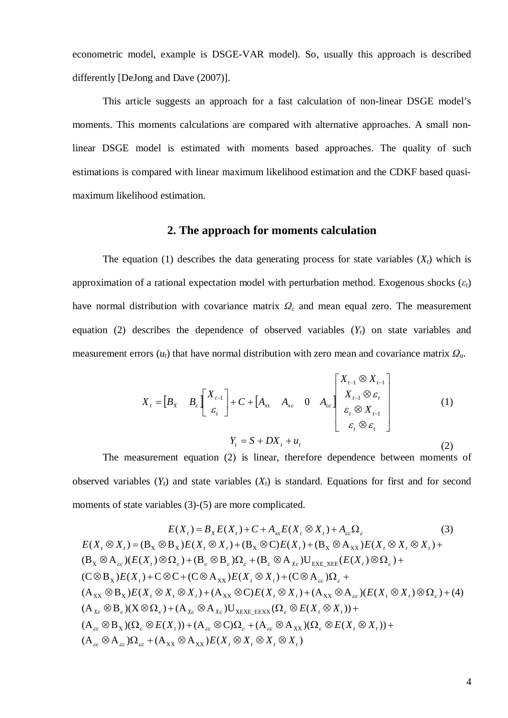econometric model, example is DSGE-VAR model). So, usually this approach is described differently [DeJong and Dave (2007)].

This article suggests an approach for a fast calculation of non-linear DSGE model's moments. This moments calculations are compared with alternative approaches. A small nonlinear DSGE model is estimated with moments based approaches. The quality of such estimations is compared with linear maximum likelihood estimation and the CDKF based quasimaximum likelihood estimation.

#### **2. The approach for moments calculation**

The equation (1) describes the data generating process for state variables  $(X_t)$  which is approximation of a rational expectation model with perturbation method. Exogenous shocks  $(\varepsilon_t)$ have normal distribution with covariance matrix  $\Omega_{\varepsilon}$  and mean equal zero. The measurement equation (2) describes the dependence of observed variables (*Yt*) on state variables and measurement errors  $(u_t)$  that have normal distribution with zero mean and covariance matrix  $\Omega_u$ .

$$
X_{t} = \begin{bmatrix} B_{X} & B_{\varepsilon} \end{bmatrix} \begin{bmatrix} X_{t-1} \\ \varepsilon_{t} \end{bmatrix} + C + \begin{bmatrix} A_{xx} & A_{xz} & 0 & A_{\varepsilon} \end{bmatrix} \begin{bmatrix} X_{t-1} \otimes X_{t-1} \\ X_{t-1} \otimes \varepsilon_{t} \\ \varepsilon_{t} \otimes X_{t-1} \\ \varepsilon_{t} \otimes \varepsilon_{t} \end{bmatrix}
$$
(1)  

$$
Y_{t} = S + DX_{t} + u_{t}
$$
(2)

The measurement equation (2) is linear, therefore dependence between moments of observed variables  $(Y_t)$  and state variables  $(X_t)$  is standard. Equations for first and for second moments of state variables (3)-(5) are more complicated.

$$
E(X_t) = B_X E(X_t) + C + A_{xx} E(X_t \otimes X_t) + A_{ex} \Omega_{\varepsilon}
$$
(3)  
\n
$$
E(X_t \otimes X_t) = (B_X \otimes B_X)E(X_t \otimes X_t) + (B_X \otimes C)E(X_t) + (B_X \otimes A_{XX})E(X_t \otimes X_t \otimes X_t) +
$$
  
\n
$$
(B_X \otimes A_{ex})(E(X_t) \otimes \Omega_{\varepsilon}) + (B_{\varepsilon} \otimes B_{\varepsilon})\Omega_{\varepsilon} + (B_{\varepsilon} \otimes A_{xe})U_{\text{EXE\_XEE}}(E(X_t) \otimes \Omega_{\varepsilon}) +
$$
  
\n
$$
(C \otimes B_X)E(X_t) + C \otimes C + (C \otimes A_{XX})E(X_t \otimes X_t) + (C \otimes A_{ex})\Omega_{\varepsilon} +
$$
  
\n
$$
(A_{XX} \otimes B_X)E(X_t \otimes X_t \otimes X_t) + (A_{XX} \otimes C)E(X_t \otimes X_t) + (A_{XX} \otimes A_{ex})(E(X_t \otimes X_t) \otimes \Omega_{\varepsilon}) + (4)
$$
  
\n
$$
(A_{xe} \otimes B_{\varepsilon})(X \otimes \Omega_{\varepsilon}) + (A_{xe} \otimes A_{xe})U_{\text{XEXE\_EEXX}}(\Omega_{\varepsilon} \otimes E(X_t \otimes X_t)) +
$$
  
\n
$$
(A_{ex} \otimes B_X)(\Omega_{\varepsilon} \otimes E(X_t)) + (A_{ex} \otimes C)\Omega_{\varepsilon} + (A_{ex} \otimes A_{XX})(\Omega_{\varepsilon} \otimes E(X_t \otimes X_t)) +
$$
  
\n
$$
(A_{ex} \otimes A_{ex})\Omega_{ex} + (A_{XX} \otimes A_{XX})E(X_t \otimes X_t \otimes X_t \otimes X_t)
$$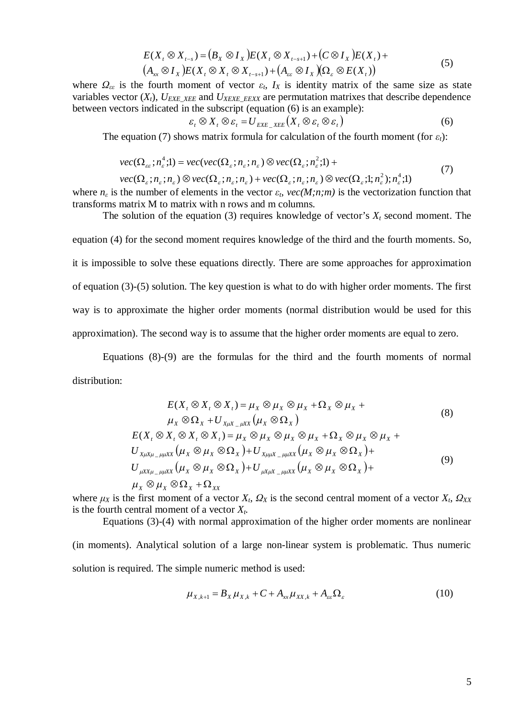$$
E(X_t \otimes X_{t-s}) = (B_X \otimes I_X)E(X_t \otimes X_{t-s+1}) + (C \otimes I_X)E(X_t) +
$$
  
\n
$$
(A_{xx} \otimes I_X)E(X_t \otimes X_t \otimes X_{t-s+1}) + (A_{\varepsilon\varepsilon} \otimes I_X) (\Omega_{\varepsilon} \otimes E(X_t))
$$
\n(5)

where  $\Omega_{\varepsilon_{\varepsilon}}$  is the fourth moment of vector  $\varepsilon_{t}$ ,  $I_{X}$  is identity matrix of the same size as state variables vector  $(X_t)$ ,  $U_{EXE \, XEE}$  and  $U_{XEXE \, EEXX}$  are permutation matrixes that describe dependence between vectors indicated in the subscript (equation (6) is an example):

$$
\varepsilon_t \otimes X_t \otimes \varepsilon_t = U_{EXE_XE} \left( X_t \otimes \varepsilon_t \otimes \varepsilon_t \right) \tag{6}
$$

The equation (7) shows matrix formula for calculation of the fourth moment (for  $\varepsilon_t$ ):

$$
vec(\Omega_{\varepsilon\varepsilon}; n_{\varepsilon}^4; l) = vec(vec(\Omega_{\varepsilon}; n_{\varepsilon}; n_{\varepsilon}) \otimes vec(\Omega_{\varepsilon}; n_{\varepsilon}^2; l) +
$$
  
\n
$$
vec(\Omega_{\varepsilon}; n_{\varepsilon}; n_{\varepsilon}) \otimes vec(\Omega_{\varepsilon}; n_{\varepsilon}; n_{\varepsilon}) + vec(\Omega_{\varepsilon}; n_{\varepsilon}; n_{\varepsilon}) \otimes vec(\Omega_{\varepsilon}; l; n_{\varepsilon}^2); n_{\varepsilon}^4; l)
$$
\n(7)

where  $n_{\epsilon}$  is the number of elements in the vector  $\varepsilon_t$ ,  $vec(M;n;m)$  is the vectorization function that transforms matrix M to matrix with n rows and m columns.

The solution of the equation (3) requires knowledge of vector's  $X_t$  second moment. The equation (4) for the second moment requires knowledge of the third and the fourth moments. So, it is impossible to solve these equations directly. There are some approaches for approximation of equation (3)-(5) solution. The key question is what to do with higher order moments. The first way is to approximate the higher order moments (normal distribution would be used for this approximation). The second way is to assume that the higher order moments are equal to zero.

Equations (8)-(9) are the formulas for the third and the fourth moments of normal distribution:

$$
E(X_t \otimes X_t \otimes X_t) = \mu_X \otimes \mu_X \otimes \mu_X + \Omega_X \otimes \mu_X +
$$
  
\n
$$
\mu_X \otimes \Omega_X + U_{X\mu X} \mu_X (\mu_X \otimes \Omega_X)
$$
  
\n
$$
E(X_t \otimes X_t \otimes X_t \otimes X_t) = \mu_X \otimes \mu_X \otimes \mu_X \otimes \mu_X + \Omega_X \otimes \mu_X \otimes \mu_X +
$$
  
\n
$$
U_{X\mu X\mu - \mu \mu XX} (\mu_X \otimes \mu_X \otimes \Omega_X) + U_{X\mu \mu X - \mu \mu XX} (\mu_X \otimes \mu_X \otimes \Omega_X) +
$$
  
\n
$$
U_{\mu X X\mu - \mu \mu XX} (\mu_X \otimes \mu_X \otimes \Omega_X) + U_{\mu X\mu X - \mu \mu XX} (\mu_X \otimes \mu_X \otimes \Omega_X) +
$$
  
\n
$$
\mu_X \otimes \mu_X \otimes \Omega_X + \Omega_{XX}
$$
\n(9)

where  $\mu_X$  is the first moment of a vector  $X_t$ ,  $\Omega_X$  is the second central moment of a vector  $X_t$ ,  $\Omega_{XX}$ is the fourth central moment of a vector  $X_t$ .

Equations (3)-(4) with normal approximation of the higher order moments are nonlinear

(in moments). Analytical solution of a large non-linear system is problematic. Thus numeric solution is required. The simple numeric method is used:

$$
\mu_{X,k+1} = B_X \mu_{X,k} + C + A_{xx} \mu_{XX,k} + A_{\varepsilon \varepsilon} \Omega_{\varepsilon}
$$
\n(10)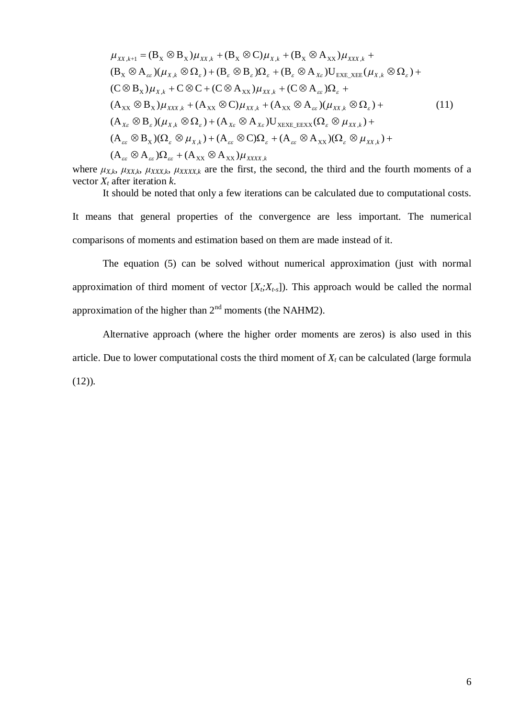$$
\mu_{XX,k+1} = (B_X \otimes B_X)\mu_{XX,k} + (B_X \otimes C)\mu_{X,k} + (B_X \otimes A_{XX})\mu_{XXX,k} +
$$
  
\n
$$
(B_X \otimes A_{\varepsilon\varepsilon})(\mu_{X,k} \otimes \Omega_{\varepsilon}) + (B_{\varepsilon} \otimes B_{\varepsilon})\Omega_{\varepsilon} + (B_{\varepsilon} \otimes A_{X\varepsilon})U_{EXE_XEE}(\mu_{X,k} \otimes \Omega_{\varepsilon}) +
$$
  
\n
$$
(C \otimes B_X)\mu_{X,k} + C \otimes C + (C \otimes A_{XX})\mu_{XX,k} + (C \otimes A_{\varepsilon\varepsilon})\Omega_{\varepsilon} +
$$
  
\n
$$
(A_{XX} \otimes B_X)\mu_{XXX,k} + (A_{XX} \otimes C)\mu_{XX,k} + (A_{XX} \otimes A_{\varepsilon\varepsilon})(\mu_{XX,k} \otimes \Omega_{\varepsilon}) +
$$
  
\n
$$
(A_{X\varepsilon} \otimes B_{\varepsilon})(\mu_{X,k} \otimes \Omega_{\varepsilon}) + (A_{X\varepsilon} \otimes A_{X\varepsilon})U_{XEXE_EEXX}(\Omega_{\varepsilon} \otimes \mu_{XX,k}) +
$$
  
\n
$$
(A_{\varepsilon\varepsilon} \otimes B_X)(\Omega_{\varepsilon} \otimes \mu_{X,k}) + (A_{\varepsilon\varepsilon} \otimes C)\Omega_{\varepsilon} + (A_{\varepsilon\varepsilon} \otimes A_{XX})(\Omega_{\varepsilon} \otimes \mu_{XX,k}) +
$$
  
\n
$$
(A_{\varepsilon\varepsilon} \otimes A_{\varepsilon\varepsilon})\Omega_{\varepsilon\varepsilon} + (A_{XX} \otimes A_{XX})\mu_{XXX,k}
$$

where  $\mu_{X,k}$ ,  $\mu_{XX,k}$ ,  $\mu_{XXX,k}$ ,  $\mu_{XXX,k}$  are the first, the second, the third and the fourth moments of a vector *Xt* after iteration *k*.

It should be noted that only a few iterations can be calculated due to computational costs.

It means that general properties of the convergence are less important. The numerical comparisons of moments and estimation based on them are made instead of it.

The equation (5) can be solved without numerical approximation (just with normal approximation of third moment of vector  $[X_t; X_{t-s}]$ ). This approach would be called the normal approximation of the higher than  $2<sup>nd</sup>$  moments (the NAHM2).

Alternative approach (where the higher order moments are zeros) is also used in this article. Due to lower computational costs the third moment of  $X_t$  can be calculated (large formula  $(12)$ ).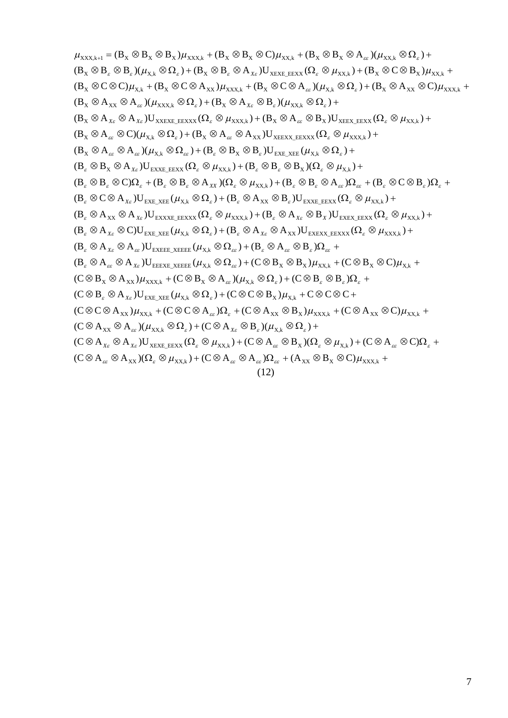$(\mathrm{C} \otimes \mathrm{A}_{\varepsilon \varepsilon} \otimes \mathrm{A}_{\mathrm{XX}}) (\Omega_{\varepsilon} \otimes \mu_{\mathrm{XX},k}) + (\mathrm{C} \otimes \mathrm{A}_{\varepsilon \varepsilon} \otimes \mathrm{A}_{\varepsilon \varepsilon}) \Omega_{\varepsilon \varepsilon} + (\mathrm{A}_{\mathrm{XX}} \otimes \mathrm{B}_{\mathrm{X}} \otimes \mathrm{C}) \mu_{\mathrm{XXX},k} +$  $(C \otimes A_{x_{\varepsilon}} \otimes A_{x_{\varepsilon}})U_{x_{\text{EXE\_EEXX}}}(\Omega_{\varepsilon} \otimes \mu_{xx_k}) + (C \otimes A_{\varepsilon \varepsilon} \otimes B_{x})(\Omega_{\varepsilon} \otimes \mu_{x_k}) + (C \otimes A_{\varepsilon \varepsilon} \otimes C)\Omega_{\varepsilon} +$  $(C \otimes A_{xx} \otimes A_{\varepsilon\varepsilon})(\mu_{xx,k} \otimes \Omega_{\varepsilon}) + (C \otimes A_{x\varepsilon} \otimes B_{\varepsilon})(\mu_{x,k} \otimes \Omega_{\varepsilon}) +$  $(C \otimes C \otimes A_{xx})\mu_{xx,k} + (C \otimes C \otimes A_{\alpha})\Omega_{\varepsilon} + (C \otimes A_{xx} \otimes B_{x})\mu_{xxx,k} + (C \otimes A_{xx} \otimes C)\mu_{xx,k} +$  $(C \otimes B_{\varepsilon} \otimes A_{x_{\varepsilon}}) U_{\text{EXE\_XEE}} (\mu_{X,k} \otimes \Omega_{\varepsilon}) + (C \otimes C \otimes B_{X}) \mu_{X,k} + C \otimes C \otimes C +$  $(C \otimes B_X \otimes A_{XX})\mu_{XXX, k} + (C \otimes B_X \otimes A_{\varepsilon \varepsilon})(\mu_{X, k} \otimes \Omega_{\varepsilon}) + (C \otimes B_{\varepsilon} \otimes B_{\varepsilon})\Omega_{\varepsilon}$  $(\mathsf{B}_{\varepsilon}\otimes \mathsf{A}_{\varepsilon_{\varepsilon}}\otimes \mathsf{A}_{\chi_{\varepsilon}})U_{\textup{eeexe\_xeeee}}(\mu_{\chi_{k}}\otimes \Omega_{\varepsilon_{\varepsilon}}) + (\mathbb{C}\otimes \mathsf{B}_{\chi}\otimes \mathsf{B}_{\chi})\mu_{\chi\chi_{k}} + (\mathbb{C}\otimes \mathsf{B}_{\chi}\otimes \mathbb{C})\mu_{\chi_{k}} +$  $(\textbf{B}_{\varepsilon}\otimes \textbf{A}_{\chi_{\varepsilon}}\otimes \textbf{A}_{\varepsilon_{\varepsilon}}) \textbf{U}_{\texttt{EXEEE\_XEEE}} (\mu_{\textbf{X},k}\otimes \Omega_{\varepsilon_{\varepsilon}}) + (\textbf{B}_{\varepsilon}\otimes \textbf{A}_{\varepsilon_{\varepsilon}}\otimes \textbf{B}_{\varepsilon}) \Omega_{\varepsilon_{\varepsilon}} +$  $(B_\varepsilon \otimes A_{x_\varepsilon} \otimes C) U_{\text{EXE\_XEE}} (\mu_{X,k} \otimes \Omega_\varepsilon) + (B_\varepsilon \otimes A_{x_\varepsilon} \otimes A_{XX}) U_{\text{EXEXX\_EEXXX}} (\Omega_\varepsilon \otimes \mu_{\text{XXX},k}) +$  $(\mathbf{B}_{\varepsilon}\otimes \mathbf{A}_{\mathbf{X}\mathbf{x}}\otimes \mathbf{A}_{\mathbf{X}\varepsilon})\mathbf{U}_{\mathbf{EXXXE}\_\mathbf{EEXXX}}(\mathbf{\Omega}_{\varepsilon}\otimes \mu_{\mathbf{XXX},k})+(\mathbf{B}_{\varepsilon}\otimes \mathbf{A}_{\mathbf{X}\varepsilon}\otimes \mathbf{B}_{\mathbf{X}})\mathbf{U}_{\mathbf{EXEX}\_\mathbf{EEXX}}(\mathbf{\Omega}_{\varepsilon}\otimes \mu_{\mathbf{XX},k})+$  $(\mathsf{B}_{\varepsilon}\otimes\mathbb{C}\otimes\mathsf{A}_{\chi_{\varepsilon}})\mathsf{U}_{\textnormal{EXE\_XEE}}(\mu_{\chi_{,k}}\otimes\Omega_{\varepsilon}) + (\mathsf{B}_{\varepsilon}\otimes\mathsf{A}_{\textnormal{XX}}\otimes\mathsf{B}_{\varepsilon})\mathsf{U}_{\textnormal{EXXE\_EEXX}}(\Omega_{\varepsilon}\otimes\mu_{\textnormal{XX},k}) +$  $(\textbf{B}_{\varepsilon}\otimes \textbf{B}_{\varepsilon}\otimes \textbf{C})\Omega_{\varepsilon}+(\textbf{B}_{\varepsilon}\otimes \textbf{B}_{\varepsilon}\otimes \textbf{A}_{\chi\chi})(\Omega_{\varepsilon}\otimes \mu_{\chi\chi,k})+(\textbf{B}_{\varepsilon}\otimes \textbf{B}_{\varepsilon}\otimes \textbf{A}_{\varepsilon\varepsilon})\Omega_{\varepsilon\varepsilon}+(\textbf{B}_{\varepsilon}\otimes \textbf{C}\otimes \textbf{B}_{\varepsilon})\Omega_{\varepsilon}+\textbf{B}_{\varepsilon}\otimes \textbf{A}_{\varepsilon\chi})\Omega_{\v$  $(B_\varepsilon\otimes B_\chi\otimes A_{\chi_\varepsilon})U_{\text{EXXE\_EEXX}}(\Omega_\varepsilon\otimes \mu_{\text{XX},k}) + (B_\varepsilon\otimes B_\varepsilon\otimes B_\chi)(\Omega_\varepsilon\otimes \mu_{\text{X},k}) +$  $(B_X \otimes A_{\varepsilon \varepsilon} \otimes A_{\varepsilon \varepsilon}) (\mu_{X,k} \otimes \Omega_{\varepsilon \varepsilon}) + (B_{\varepsilon} \otimes B_X \otimes B_{\varepsilon}) U_{\varepsilon X E\_X E E} (\mu_{X,k} \otimes \Omega_{\varepsilon}) +$  $(\text{B}_{\text{X}}\otimes \text{A}_{\text{\tiny \it ex}}\otimes \text{C})(\mu_{\text{X},k}\otimes \Omega_{\text{\tiny \it e}})+(\text{B}_{\text{X}}\otimes \text{A}_{\text{\tiny \it xe}}\otimes \text{A}_{\text{XX}})\text{U}_{\text{XEEXX\_EEXXX}}(\Omega_{\text{\tiny \it e}}\otimes \mu_{\text{XXX},k})+$  $(B_X\otimes A_{X_{\mathcal{E}}}\otimes A_{X_{\mathcal{E}}})U_{\text{XXEXE\_EEXXX}}(\Omega_{\mathcal{E}}\otimes \mu_{\text{XXX},k}) + (B_X\otimes A_{\mathcal{E}}\otimes B_X)U_{\text{XEEX\_EEXX}}(\Omega_{\mathcal{E}}\otimes \mu_{\text{XX},k}) +$  $(B_X \otimes A_{XX} \otimes A_{\varepsilon \varepsilon})(\mu_{XXX, k} \otimes \Omega_{\varepsilon}) + (B_X \otimes A_{X\varepsilon} \otimes B_{\varepsilon})(\mu_{XX, k} \otimes \Omega_{\varepsilon}) +$  $(B_X \otimes C \otimes C)\mu_{X,k} + (B_X \otimes C \otimes A_{XX})\mu_{XXX,k} + (B_X \otimes C \otimes A_{\varepsilon\varepsilon})(\mu_{X,k} \otimes \Omega_{\varepsilon}) + (B_X \otimes A_{XX} \otimes C)\mu_{XXX,k}$  $(\mathsf{B}_\chi\otimes\mathsf{B}_\varepsilon\otimes\mathsf{B}_\varepsilon)(\mu_{\chi_k}\otimes\Omega_\varepsilon)+(\mathsf{B}_\chi\otimes\mathsf{B}_\varepsilon\otimes\mathsf{A}_{\chi_\varepsilon})\mathsf{U}_{\text{XEXE\_EEXX}}(\Omega_\varepsilon\otimes\mu_{\text{XX},k})+(\mathsf{B}_\chi\otimes\mathsf{C}\otimes\mathsf{B}_\chi)\mu_{\text{XX},k}$  $\mu_{\text{XXX},k+1} = (B_x \otimes B_x \otimes B_x) \mu_{\text{XXX},k} + (B_x \otimes B_x \otimes C) \mu_{\text{XXX},k} + (B_x \otimes B_x \otimes A_{\varepsilon \varepsilon}) (\mu_{\text{XXX},k} \otimes \Omega_{\varepsilon}) +$ (12)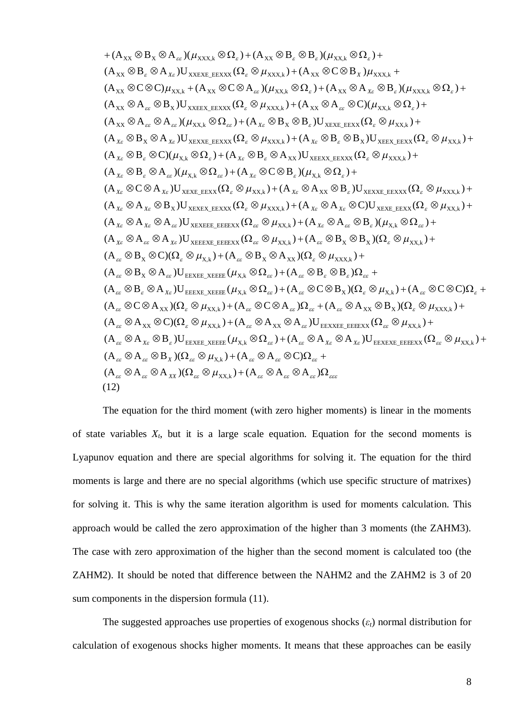$$
+ (A_{XX} \otimes B_x \otimes A_{ac})(\mu_{XXXk} \otimes \Omega_z) + (A_{XX} \otimes B_z \otimes B_z)(\mu_{XXXk} \otimes \Omega_z) +\n(A_{XX} \otimes B_z \otimes A_{xc})U_{XXEXE, EEXXX}} (\Omega_z \otimes \mu_{XXXk}) + (A_{XX} \otimes C \otimes B_x) \mu_{XXXk} +\n(A_{XX} \otimes C \otimes C) \mu_{XXXk} + (A_{XX} \otimes C \otimes A_{ac})(\mu_{XXXk} \otimes \Omega_z) + (A_{XX} \otimes A_x \otimes B_z)(\mu_{XXXk} \otimes \Omega_z) +\n(A_{XX} \otimes A_{ac} \otimes B_x)U_{XXEE, EEXXX}} (\Omega_z \otimes \mu_{XXXk}) + (A_{XX} \otimes A_{ac} \otimes C)(\mu_{XXk} \otimes \Omega_z) +\n(A_{XX} \otimes A_{ac} \otimes A_{ac})(\mu_{XXk} \otimes \Omega_{ca}) + (A_{Xc} \otimes B_x \otimes B_z)U_{XEXE, EEXXX}} (\Omega_z \otimes \mu_{XXXk}) +\n(A_{Xc} \otimes B_x \otimes A_{Xc})U_{XEXKE, EEXXX}} (\Omega_z \otimes \mu_{XXXk}) + (A_{Xc} \otimes B_z \otimes B_x)U_{XEXE, EEXXX}} (\Omega_z \otimes \mu_{XXXk}) +\n(A_{Xc} \otimes B_z \otimes A_{ac})(\mu_{Xk} \otimes \Omega_z) + (A_{Xc} \otimes C \otimes B_z)(\mu_{Xk} \otimes B_z)U_{XEXKE, EEXXX}} (\Omega_z \otimes \mu_{XXXk}) +\n(A_{Xc} \otimes A_{Xc})U_{XEXEE, EEXXX}} (\Omega_z \otimes \mu_{XXXk}) + (A_{Xc} \otimes A_{XX} \otimes B_z)U_{XEXKE, EEXXX}} (\Omega_z \otimes \mu_{XXXk}) +\n(A_{Xc} \otimes A_{Xc} \otimes B_x)U_{XEXKE, EEXXX}} (\Omega_z \otimes \mu_{XXXk}) + (A_{Xc} \otimes A_{Xc} \otimes B_z)(\mu_{Xk} \otimes \Omega_{ca}) +\n(A_{Xc} \otimes A_{ac} \otimes A_{ac})U_{XEXKE, EEXXX}} (\Omega_{ca} \otimes \mu_{XXXk}) + (A_{ac} \otimes B_x \otimes B_z
$$

The equation for the third moment (with zero higher moments) is linear in the moments of state variables  $X_t$ , but it is a large scale equation. Equation for the second moments is Lyapunov equation and there are special algorithms for solving it. The equation for the third moments is large and there are no special algorithms (which use specific structure of matrixes) for solving it. This is why the same iteration algorithm is used for moments calculation. This approach would be called the zero approximation of the higher than 3 moments (the ZAHM3). The case with zero approximation of the higher than the second moment is calculated too (the ZAHM2). It should be noted that difference between the NAHM2 and the ZAHM2 is 3 of 20 sum components in the dispersion formula (11).

The suggested approaches use properties of exogenous shocks  $(\varepsilon_t)$  normal distribution for calculation of exogenous shocks higher moments. It means that these approaches can be easily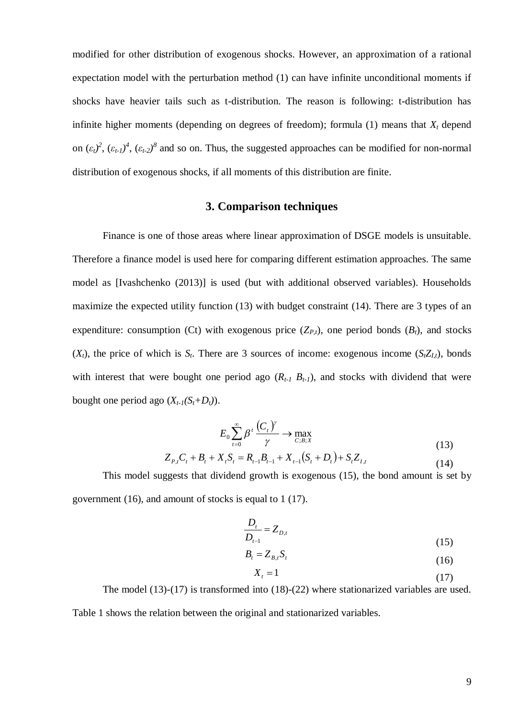modified for other distribution of exogenous shocks. However, an approximation of a rational expectation model with the perturbation method (1) can have infinite unconditional moments if shocks have heavier tails such as t-distribution. The reason is following: t-distribution has infinite higher moments (depending on degrees of freedom); formula (1) means that  $X_t$  depend on  $(\varepsilon_t)^2$ ,  $(\varepsilon_{t-1})^4$ ,  $(\varepsilon_{t-2})^8$  and so on. Thus, the suggested approaches can be modified for non-normal distribution of exogenous shocks, if all moments of this distribution are finite.

# **3. Comparison techniques**

Finance is one of those areas where linear approximation of DSGE models is unsuitable. Therefore a finance model is used here for comparing different estimation approaches. The same model as [Ivashchenko (2013)] is used (but with additional observed variables). Households maximize the expected utility function (13) with budget constraint (14). There are 3 types of an expenditure: consumption (Ct) with exogenous price  $(Z_{P,t})$ , one period bonds  $(B_t)$ , and stocks  $(X_t)$ , the price of which is  $S_t$ . There are 3 sources of income: exogenous income  $(S_t Z_t)$ , bonds with interest that were bought one period ago  $(R_{t-1}, B_{t-1})$ , and stocks with dividend that were bought one period ago  $(X_{t-1}(S_t+D_t))$ .

$$
E_0 \sum_{t=0}^{\infty} \beta^t \frac{(C_t)^{\gamma}}{\gamma} \to \max_{C, B; X}
$$
  
\n
$$
Z_{P,t}C_t + B_t + X_t S_t = R_{t-1}B_{t-1} + X_{t-1}(S_t + D_t) + S_t Z_{I,t}
$$
\n(13)

This model suggests that dividend growth is exogenous (15), the bond amount is set by government (16), and amount of stocks is equal to 1 (17).

$$
\frac{D_t}{D_{t-1}} = Z_{D,t}
$$
\n(15)

$$
B_t = Z_{B,t} S_t \tag{16}
$$

$$
X_t = 1\tag{17}
$$

The model (13)-(17) is transformed into (18)-(22) where stationarized variables are used. Table 1 shows the relation between the original and stationarized variables.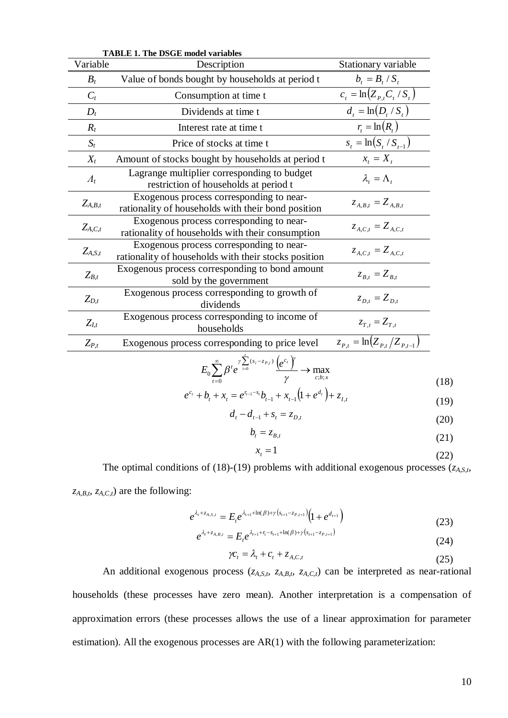| <b>TABLE 1. The DSGE model variables</b> |                                                                                                                            |                                           |  |  |  |  |
|------------------------------------------|----------------------------------------------------------------------------------------------------------------------------|-------------------------------------------|--|--|--|--|
| Variable                                 | Description                                                                                                                | Stationary variable                       |  |  |  |  |
| $B_t$                                    | Value of bonds bought by households at period t                                                                            | $b_t = B_t / S_t$                         |  |  |  |  |
| $C_t$                                    | Consumption at time t                                                                                                      | $\overline{c_t} = \ln(Z_{P,t} C_t / S_t)$ |  |  |  |  |
| $D_t$                                    | Dividends at time t                                                                                                        | $d_{t} = \ln(D_{t}/S_{t})$                |  |  |  |  |
| $R_t$                                    | Interest rate at time t                                                                                                    | $r_t = \ln(R_t)$                          |  |  |  |  |
| $S_t$                                    | Price of stocks at time t                                                                                                  | $s_t = \ln(S_t / S_{t-1})$                |  |  |  |  |
| $X_t$                                    | Amount of stocks bought by households at period t                                                                          | $x_t = X_t$                               |  |  |  |  |
| $\Lambda_t$                              | Lagrange multiplier corresponding to budget<br>restriction of households at period t                                       | $\lambda_i = \Lambda_i$                   |  |  |  |  |
| $Z_{A,B,t}$                              | Exogenous process corresponding to near-<br>rationality of households with their bond position                             | $Z_{A,B,t} = Z_{A,B,t}$                   |  |  |  |  |
| $Z_{A,C,t}$                              | Exogenous process corresponding to near-<br>rationality of households with their consumption                               | $Z_{A,C,t} = Z_{A,C,t}$                   |  |  |  |  |
| $Z_{A,S,t}$                              | Exogenous process corresponding to near-<br>rationality of households with their stocks position                           | $Z_{A.C.t} = Z_{A.C.t}$                   |  |  |  |  |
| $Z_{B,t}$                                | Exogenous process corresponding to bond amount<br>sold by the government                                                   | $Z_{B,t} = Z_{B,t}$                       |  |  |  |  |
| $Z_{D,t}$                                | Exogenous process corresponding to growth of<br>dividends                                                                  | $Z_{D,t} = Z_{D,t}$                       |  |  |  |  |
| $Z_{I,t}$                                | Exogenous process corresponding to income of<br>households                                                                 | $z_{T,t} = Z_{T,t}$                       |  |  |  |  |
| $Z_{P,t}$                                | Exogenous process corresponding to price level                                                                             | $z_{P,t} = \ln(Z_{P,t}/Z_{P,t-1})$        |  |  |  |  |
|                                          | $\sum_{I\subset I} \sum_{j=0}^{\infty} \frac{\gamma \sum_{i=0}^{j} (s_i - z_{P,i})}{\gamma} \left(e^{c_i}\right)^{\gamma}$ |                                           |  |  |  |  |

$$
E_0 \sum_{t=0}^{\infty} \beta^t e^{\gamma \sum_{i=0}^{(\mathcal{S}_i - z_{P,i})} \frac{\left(e^{c_i}\right)^{\gamma}}{\gamma}} \to \max_{c; b; x}
$$
(18)

$$
e^{c_t} + b_t + x_t = e^{r_{t-1} - s_t}b_{t-1} + x_{t-1}(1 + e^{d_t}) + z_{I,t}
$$
\n(19)

$$
d_t - d_{t-1} + s_t = z_{D,t} \tag{20}
$$

$$
b_t = z_{B,t} \tag{21}
$$

$$
x_t = 1\tag{22}
$$

The optimal conditions of (18)-(19) problems with additional exogenous processes (*zA,S,t, zA,B,t, zA,C,t*) are the following:

$$
e^{\lambda_{t} + z_{A,S,t}} = E_{t} e^{\lambda_{t+1} + \ln(\beta) + \gamma \left(s_{t+1} - z_{P,t+1}\right)} \left(1 + e^{d_{t+1}}\right)
$$
(23)

$$
e^{\lambda_{t} + z_{A,B,t}} = E_{t} e^{\lambda_{t+1} + r_{t} - s_{t+1} + \ln(\beta) + \gamma \left(s_{t+1} - z_{P,t+1}\right)}
$$
\n(24)

$$
\gamma c_t = \lambda_t + c_t + z_{A,C,t} \tag{25}
$$

An additional exogenous process (*zA,S,t, zA,B,t, zA,C,t*) can be interpreted as near-rational households (these processes have zero mean). Another interpretation is a compensation of approximation errors (these processes allows the use of a linear approximation for parameter estimation). All the exogenous processes are AR(1) with the following parameterization: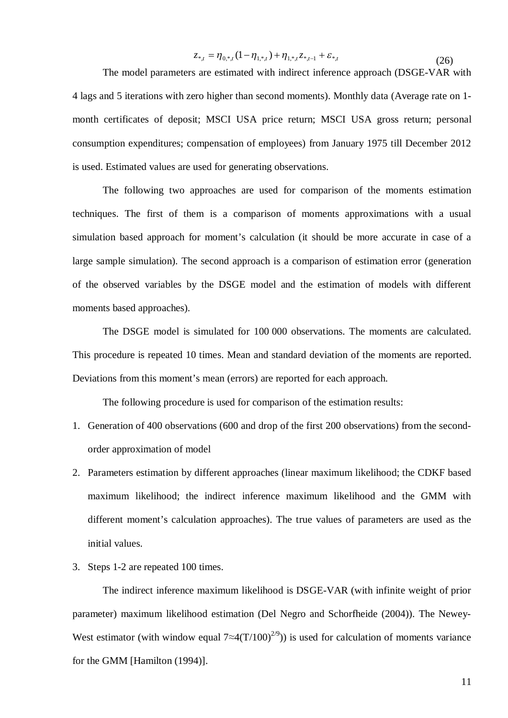$$
z_{*,t} = \eta_{0,*,t} (1 - \eta_{1,*,t}) + \eta_{1,*,t} z_{*,t-1} + \varepsilon_{*,t}
$$
\n
$$
(26)
$$

The model parameters are estimated with indirect inference approach (DSGE-VAR with 4 lags and 5 iterations with zero higher than second moments). Monthly data (Average rate on 1 month certificates of deposit; MSCI USA price return; MSCI USA gross return; personal consumption expenditures; compensation of employees) from January 1975 till December 2012 is used. Estimated values are used for generating observations.

The following two approaches are used for comparison of the moments estimation techniques. The first of them is a comparison of moments approximations with a usual simulation based approach for moment's calculation (it should be more accurate in case of a large sample simulation). The second approach is a comparison of estimation error (generation of the observed variables by the DSGE model and the estimation of models with different moments based approaches).

The DSGE model is simulated for 100 000 observations. The moments are calculated. This procedure is repeated 10 times. Mean and standard deviation of the moments are reported. Deviations from this moment's mean (errors) are reported for each approach.

The following procedure is used for comparison of the estimation results:

- 1. Generation of 400 observations (600 and drop of the first 200 observations) from the secondorder approximation of model
- 2. Parameters estimation by different approaches (linear maximum likelihood; the CDKF based maximum likelihood; the indirect inference maximum likelihood and the GMM with different moment's calculation approaches). The true values of parameters are used as the initial values.
- 3. Steps 1-2 are repeated 100 times.

The indirect inference maximum likelihood is DSGE-VAR (with infinite weight of prior parameter) maximum likelihood estimation (Del Negro and Schorfheide (2004)). The Newey-West estimator (with window equal  $7 \approx 4(T/100)^{2/9}$ ) is used for calculation of moments variance for the GMM [Hamilton (1994)].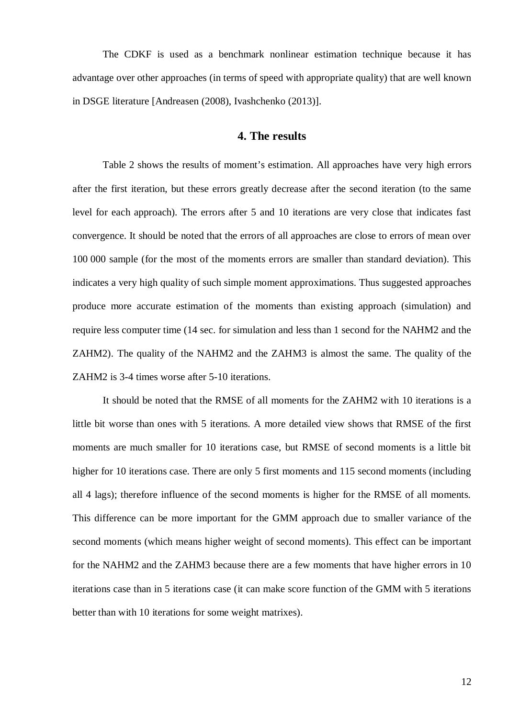The CDKF is used as a benchmark nonlinear estimation technique because it has advantage over other approaches (in terms of speed with appropriate quality) that are well known in DSGE literature [Andreasen (2008), Ivashchenko (2013)].

# **4. The results**

Table 2 shows the results of moment's estimation. All approaches have very high errors after the first iteration, but these errors greatly decrease after the second iteration (to the same level for each approach). The errors after 5 and 10 iterations are very close that indicates fast convergence. It should be noted that the errors of all approaches are close to errors of mean over 100 000 sample (for the most of the moments errors are smaller than standard deviation). This indicates a very high quality of such simple moment approximations. Thus suggested approaches produce more accurate estimation of the moments than existing approach (simulation) and require less computer time (14 sec. for simulation and less than 1 second for the NAHM2 and the ZAHM2). The quality of the NAHM2 and the ZAHM3 is almost the same. The quality of the ZAHM2 is 3-4 times worse after 5-10 iterations.

It should be noted that the RMSE of all moments for the ZAHM2 with 10 iterations is a little bit worse than ones with 5 iterations. A more detailed view shows that RMSE of the first moments are much smaller for 10 iterations case, but RMSE of second moments is a little bit higher for 10 iterations case. There are only 5 first moments and 115 second moments (including all 4 lags); therefore influence of the second moments is higher for the RMSE of all moments. This difference can be more important for the GMM approach due to smaller variance of the second moments (which means higher weight of second moments). This effect can be important for the NAHM2 and the ZAHM3 because there are a few moments that have higher errors in 10 iterations case than in 5 iterations case (it can make score function of the GMM with 5 iterations better than with 10 iterations for some weight matrixes).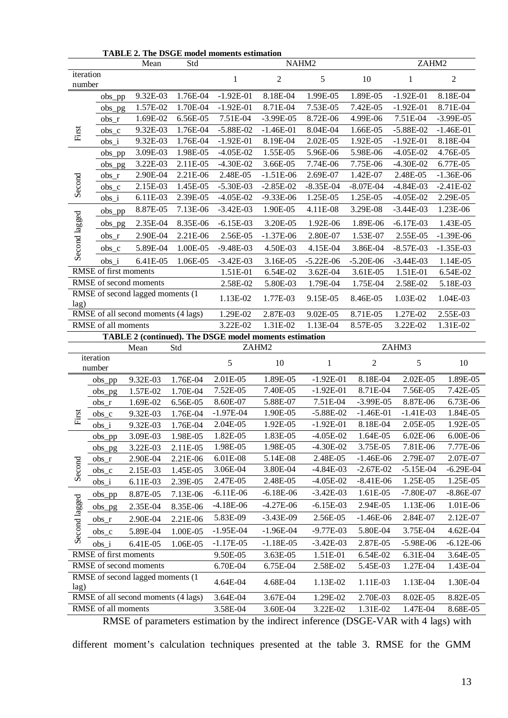| iteration<br>$\boldsymbol{2}$<br>5<br>$\sqrt{2}$<br>10<br>1<br>1<br>number<br>9.32E-03<br>1.76E-04<br>$-1.92E-01$<br>8.18E-04<br>1.99E-05<br>1.89E-05<br>$-1.92E-01$<br>8.18E-04<br>$obs\_pp$<br>1.70E-04<br>$-1.92E-01$<br>8.71E-04<br>7.53E-05<br>7.42E-05<br>$-1.92E-01$<br>8.71E-04<br>1.57E-02<br>obs_pg<br>1.69E-02<br>6.56E-05<br>7.51E-04<br>$-3.99E-05$<br>8.72E-06<br>7.51E-04<br>$-3.99E-05$<br>4.99E-06<br>$obs_r$<br>9.32E-03<br>1.76E-04<br>$-5.88E-02$<br>First<br>$-1.46E-01$<br>8.04E-04<br>1.66E-05<br>$-5.88E-02$<br>$-1.46E-01$<br>$obs_c$<br>9.32E-03<br>1.76E-04<br>$-1.92E-01$<br>8.19E-04<br>2.02E-05<br>1.92E-05<br>$-1.92E-01$<br>8.18E-04<br>$obs_i$<br>1.98E-05<br>$-4.05E-02$<br>1.55E-05<br>5.96E-06<br>4.76E-05<br>3.09E-03<br>5.98E-06<br>$-4.05E-02$<br>$obs\_pp$<br>3.22E-03<br>$-4.30E-02$<br>7.74E-06<br>2.11E-05<br>3.66E-05<br>7.75E-06<br>$-4.30E-02$<br>6.77E-05<br>obs_pg<br>2.90E-04<br>2.21E-06<br>2.48E-05<br>$-1.51E-06$<br>2.69E-07<br>1.42E-07<br>2.48E-05<br>$-1.36E-06$<br>$obs_r$<br>Second<br>2.15E-03<br>1.45E-05<br>$-5.30E-03$<br>$-2.85E-02$<br>$-8.35E-04$<br>$-8.07E-04$<br>$-4.84E-03$<br>$-2.41E-02$<br>$obs_c$<br>6.11E-03<br>2.39E-05<br>1.25E-05<br>2.29E-05<br>$-4.05E-02$<br>$-9.33E-06$<br>1.25E-05<br>$-4.05E-02$<br>$obs_i$<br>8.87E-05<br>7.13E-06<br>$-3.42E-03$<br>1.90E-05<br>4.11E-08<br>3.29E-08<br>$-3.44E-03$<br>1.23E-06<br>obs_pp<br>Second lagged<br>2.35E-04<br>8.35E-06<br>$-6.15E-03$<br>3.20E-05<br>1.92E-06<br>1.89E-06<br>$-6.17E-03$<br>1.43E-05<br>$obs_p$ g<br>2.90E-04<br>2.21E-06<br>2.56E-05<br>$-1.37E-06$<br>2.80E-07<br>1.53E-07<br>2.55E-05<br>$-1.39E-06$<br>$obs_r$<br>5.89E-04<br>1.00E-05<br>$-9.48E - 03$<br>4.50E-03<br>4.15E-04<br>3.86E-04<br>$-8.57E-03$<br>$-1.35E-03$<br>$obs_c$<br>$obs_i$<br>6.41E-05<br>1.06E-05<br>$-3.42E-03$<br>3.16E-05<br>$-5.22E-06$<br>$-5.20E-06$<br>$-3.44E-03$<br>1.14E-05<br>RMSE of first moments<br>6.54E-02<br>3.62E-04<br>3.61E-05<br>6.54E-02<br>1.51E-01<br>1.51E-01<br>RMSE of second moments<br>2.58E-02<br>5.80E-03<br>1.79E-04<br>1.75E-04<br>2.58E-02<br>5.18E-03<br>RMSE of second lagged moments (1<br>1.13E-02<br>1.77E-03<br>9.15E-05<br>8.46E-05<br>1.03E-02<br>1.04E-03<br>lag)<br>RMSE of all second moments (4 lags)<br>1.29E-02<br>2.87E-03<br>9.02E-05<br>8.71E-05<br>1.27E-02<br>2.55E-03<br>RMSE of all moments<br>3.22E-02<br>1.31E-02<br>1.13E-04<br>8.57E-05<br>3.22E-02<br>1.31E-02<br>TABLE 2 (continued). The DSGE model moments estimation<br>ZAHM3<br>ZAHM2<br>Std<br>Mean<br>iteration<br>5<br>5<br>$10\,$<br>$\overline{2}$<br>$\mathbf{1}$<br>10<br>number<br>2.01E-05<br>$-1.92E-01$<br>8.18E-04<br>1.89E-05<br>2.02E-05<br>1.89E-05<br>9.32E-03<br>1.76E-04<br>obs_pp<br>7.52E-05<br>7.40E-05<br>$-1.92E-01$<br>8.71E-04<br>7.56E-05<br>7.42E-05<br>1.57E-02<br>1.70E-04<br>obs_pg<br>8.60E-07<br>5.88E-07<br>7.51E-04<br>$-3.99E-05$<br>8.87E-06<br>6.73E-06<br>1.69E-02<br>6.56E-05<br>$obs_r$<br>$-5.88E-02$<br>$-1.97E-04$<br>1.90E-05<br>$-1.46E-01$<br>$-1.41E-03$<br>1.84E-05<br>First<br>9.32E-03<br>1.76E-04<br>$obs_c$<br>2.04E-05<br>$-1.92E-01$<br>8.18E-04<br>1.92E-05<br>2.05E-05<br>1.92E-05<br>9.32E-03<br>1.76E-04<br>$obs_i$<br>1.82E-05<br>1.83E-05<br>1.64E-05<br>6.02E-06<br>$-4.05E-02$<br>$6.00E-06$<br>3.09E-03<br>1.98E-05<br>obs_pp<br>1.98E-05<br>1.98E-05<br>$-4.30E-02$<br>3.75E-05<br>7.81E-06<br>7.77E-06<br>3.22E-03<br>2.11E-05<br>$\rm obs\_pg$<br>6.01E-08<br>5.14E-08<br>2.48E-05<br>$-1.46E-06$<br>2.79E-07<br>2.07E-07<br>2.90E-04<br>2.21E-06<br>$\mathrm{obs}\_{\mathrm{r}}$<br>Second<br>3.06E-04<br>3.80E-04<br>$-4.84E-03$<br>$-2.67E-02$<br>$-5.15E-04$<br>$-6.29E-04$<br>$obs_c$<br>2.15E-03<br>1.45E-05<br>2.48E-05<br>2.47E-05<br>$-4.05E-02$<br>$-8.41E-06$<br>1.25E-05<br>1.25E-05<br>$obs_i$<br>6.11E-03<br>2.39E-05<br>$-6.18E-06$<br>$-3.42E-03$<br>1.61E-05<br>$-7.80E-07$<br>$-6.11E-06$<br>$-8.86E-07$<br>8.87E-05<br>7.13E-06<br>$obs\_pp$<br>Second lagged<br>$-4.18E-06$<br>$-4.27E-06$<br>$-6.15E-03$<br>2.94E-05<br>1.13E-06<br>1.01E-06<br>2.35E-04<br>8.35E-06<br>$obs_p$ g<br>5.83E-09<br>$-3.43E-09$<br>2.56E-05<br>$-1.46E-06$<br>2.84E-07<br>2.12E-07<br>2.90E-04<br>2.21E-06<br>$obs_r$<br>$-1.95E-04$<br>$-1.96E-04$<br>$-9.77E-03$<br>5.80E-04<br>3.75E-04<br>4.62E-04<br>5.89E-04<br>1.00E-05<br>$\mathrm{obs}\_{\mathrm{c}}$<br>$-1.17E-05$<br>$-1.18E-05$<br>2.87E-05<br>$-5.98E-06$<br>$-3.42E-03$<br>$-6.12E-06$<br>1.06E-05<br>$obs_i$<br>6.41E-05<br>RMSE of first moments<br>9.50E-05<br>3.63E-05<br>1.51E-01<br>6.54E-02<br>6.31E-04<br>3.64E-05<br>RMSE of second moments<br>6.70E-04<br>6.75E-04<br>2.58E-02<br>5.45E-03<br>1.27E-04<br>1.43E-04<br>RMSE of second lagged moments (1)<br>4.64E-04<br>4.68E-04<br>1.13E-02<br>1.11E-03<br>1.13E-04<br>1.30E-04<br>lag)<br>RMSE of all second moments (4 lags)<br>1.29E-02<br>2.70E-03<br>8.02E-05<br>3.64E-04<br>3.67E-04<br>8.82E-05<br>RMSE of all moments<br>3.58E-04<br>3.60E-04<br>3.22E-02<br>1.31E-02<br>1.47E-04<br>8.68E-05 | Std<br>Mean |  |  | NAHM2 |  |  |  | ZAHM2 |  |  |
|------------------------------------------------------------------------------------------------------------------------------------------------------------------------------------------------------------------------------------------------------------------------------------------------------------------------------------------------------------------------------------------------------------------------------------------------------------------------------------------------------------------------------------------------------------------------------------------------------------------------------------------------------------------------------------------------------------------------------------------------------------------------------------------------------------------------------------------------------------------------------------------------------------------------------------------------------------------------------------------------------------------------------------------------------------------------------------------------------------------------------------------------------------------------------------------------------------------------------------------------------------------------------------------------------------------------------------------------------------------------------------------------------------------------------------------------------------------------------------------------------------------------------------------------------------------------------------------------------------------------------------------------------------------------------------------------------------------------------------------------------------------------------------------------------------------------------------------------------------------------------------------------------------------------------------------------------------------------------------------------------------------------------------------------------------------------------------------------------------------------------------------------------------------------------------------------------------------------------------------------------------------------------------------------------------------------------------------------------------------------------------------------------------------------------------------------------------------------------------------------------------------------------------------------------------------------------------------------------------------------------------------------------------------------------------------------------------------------------------------------------------------------------------------------------------------------------------------------------------------------------------------------------------------------------------------------------------------------------------------------------------------------------------------------------------------------------------------------------------------------------------------------------------------------------------------------------------------------------------------------------------------------------------------------------------------------------------------------------------------------------------------------------------------------------------------------------------------------------------------------------------------------------------------------------------------------------------------------------------------------------------------------------------------------------------------------------------------------------------------------------------------------------------------------------------------------------------------------------------------------------------------------------------------------------------------------------------------------------------------------------------------------------------------------------------------------------------------------------------------------------------------------------------------------------------------------------------------------------------------------------------------------------------------------------------------------------------------------------------------------------------------------------------------------------------------------------------------------------------------------------------------------------------------------------------------------------------------------------------------------------------------------------------------------------------------------------------------------------------------------------------------------------------------------------------------------------------------------------------------------------------------------------------------------------------------------------------------------------------------------------------------------------------------------|-------------|--|--|-------|--|--|--|-------|--|--|
|                                                                                                                                                                                                                                                                                                                                                                                                                                                                                                                                                                                                                                                                                                                                                                                                                                                                                                                                                                                                                                                                                                                                                                                                                                                                                                                                                                                                                                                                                                                                                                                                                                                                                                                                                                                                                                                                                                                                                                                                                                                                                                                                                                                                                                                                                                                                                                                                                                                                                                                                                                                                                                                                                                                                                                                                                                                                                                                                                                                                                                                                                                                                                                                                                                                                                                                                                                                                                                                                                                                                                                                                                                                                                                                                                                                                                                                                                                                                                                                                                                                                                                                                                                                                                                                                                                                                                                                                                                                                                                                                                                                                                                                                                                                                                                                                                                                                                                                                                                                                                                                |             |  |  |       |  |  |  |       |  |  |
|                                                                                                                                                                                                                                                                                                                                                                                                                                                                                                                                                                                                                                                                                                                                                                                                                                                                                                                                                                                                                                                                                                                                                                                                                                                                                                                                                                                                                                                                                                                                                                                                                                                                                                                                                                                                                                                                                                                                                                                                                                                                                                                                                                                                                                                                                                                                                                                                                                                                                                                                                                                                                                                                                                                                                                                                                                                                                                                                                                                                                                                                                                                                                                                                                                                                                                                                                                                                                                                                                                                                                                                                                                                                                                                                                                                                                                                                                                                                                                                                                                                                                                                                                                                                                                                                                                                                                                                                                                                                                                                                                                                                                                                                                                                                                                                                                                                                                                                                                                                                                                                |             |  |  |       |  |  |  |       |  |  |
|                                                                                                                                                                                                                                                                                                                                                                                                                                                                                                                                                                                                                                                                                                                                                                                                                                                                                                                                                                                                                                                                                                                                                                                                                                                                                                                                                                                                                                                                                                                                                                                                                                                                                                                                                                                                                                                                                                                                                                                                                                                                                                                                                                                                                                                                                                                                                                                                                                                                                                                                                                                                                                                                                                                                                                                                                                                                                                                                                                                                                                                                                                                                                                                                                                                                                                                                                                                                                                                                                                                                                                                                                                                                                                                                                                                                                                                                                                                                                                                                                                                                                                                                                                                                                                                                                                                                                                                                                                                                                                                                                                                                                                                                                                                                                                                                                                                                                                                                                                                                                                                |             |  |  |       |  |  |  |       |  |  |
|                                                                                                                                                                                                                                                                                                                                                                                                                                                                                                                                                                                                                                                                                                                                                                                                                                                                                                                                                                                                                                                                                                                                                                                                                                                                                                                                                                                                                                                                                                                                                                                                                                                                                                                                                                                                                                                                                                                                                                                                                                                                                                                                                                                                                                                                                                                                                                                                                                                                                                                                                                                                                                                                                                                                                                                                                                                                                                                                                                                                                                                                                                                                                                                                                                                                                                                                                                                                                                                                                                                                                                                                                                                                                                                                                                                                                                                                                                                                                                                                                                                                                                                                                                                                                                                                                                                                                                                                                                                                                                                                                                                                                                                                                                                                                                                                                                                                                                                                                                                                                                                |             |  |  |       |  |  |  |       |  |  |
|                                                                                                                                                                                                                                                                                                                                                                                                                                                                                                                                                                                                                                                                                                                                                                                                                                                                                                                                                                                                                                                                                                                                                                                                                                                                                                                                                                                                                                                                                                                                                                                                                                                                                                                                                                                                                                                                                                                                                                                                                                                                                                                                                                                                                                                                                                                                                                                                                                                                                                                                                                                                                                                                                                                                                                                                                                                                                                                                                                                                                                                                                                                                                                                                                                                                                                                                                                                                                                                                                                                                                                                                                                                                                                                                                                                                                                                                                                                                                                                                                                                                                                                                                                                                                                                                                                                                                                                                                                                                                                                                                                                                                                                                                                                                                                                                                                                                                                                                                                                                                                                |             |  |  |       |  |  |  |       |  |  |
|                                                                                                                                                                                                                                                                                                                                                                                                                                                                                                                                                                                                                                                                                                                                                                                                                                                                                                                                                                                                                                                                                                                                                                                                                                                                                                                                                                                                                                                                                                                                                                                                                                                                                                                                                                                                                                                                                                                                                                                                                                                                                                                                                                                                                                                                                                                                                                                                                                                                                                                                                                                                                                                                                                                                                                                                                                                                                                                                                                                                                                                                                                                                                                                                                                                                                                                                                                                                                                                                                                                                                                                                                                                                                                                                                                                                                                                                                                                                                                                                                                                                                                                                                                                                                                                                                                                                                                                                                                                                                                                                                                                                                                                                                                                                                                                                                                                                                                                                                                                                                                                |             |  |  |       |  |  |  |       |  |  |
|                                                                                                                                                                                                                                                                                                                                                                                                                                                                                                                                                                                                                                                                                                                                                                                                                                                                                                                                                                                                                                                                                                                                                                                                                                                                                                                                                                                                                                                                                                                                                                                                                                                                                                                                                                                                                                                                                                                                                                                                                                                                                                                                                                                                                                                                                                                                                                                                                                                                                                                                                                                                                                                                                                                                                                                                                                                                                                                                                                                                                                                                                                                                                                                                                                                                                                                                                                                                                                                                                                                                                                                                                                                                                                                                                                                                                                                                                                                                                                                                                                                                                                                                                                                                                                                                                                                                                                                                                                                                                                                                                                                                                                                                                                                                                                                                                                                                                                                                                                                                                                                |             |  |  |       |  |  |  |       |  |  |
|                                                                                                                                                                                                                                                                                                                                                                                                                                                                                                                                                                                                                                                                                                                                                                                                                                                                                                                                                                                                                                                                                                                                                                                                                                                                                                                                                                                                                                                                                                                                                                                                                                                                                                                                                                                                                                                                                                                                                                                                                                                                                                                                                                                                                                                                                                                                                                                                                                                                                                                                                                                                                                                                                                                                                                                                                                                                                                                                                                                                                                                                                                                                                                                                                                                                                                                                                                                                                                                                                                                                                                                                                                                                                                                                                                                                                                                                                                                                                                                                                                                                                                                                                                                                                                                                                                                                                                                                                                                                                                                                                                                                                                                                                                                                                                                                                                                                                                                                                                                                                                                |             |  |  |       |  |  |  |       |  |  |
|                                                                                                                                                                                                                                                                                                                                                                                                                                                                                                                                                                                                                                                                                                                                                                                                                                                                                                                                                                                                                                                                                                                                                                                                                                                                                                                                                                                                                                                                                                                                                                                                                                                                                                                                                                                                                                                                                                                                                                                                                                                                                                                                                                                                                                                                                                                                                                                                                                                                                                                                                                                                                                                                                                                                                                                                                                                                                                                                                                                                                                                                                                                                                                                                                                                                                                                                                                                                                                                                                                                                                                                                                                                                                                                                                                                                                                                                                                                                                                                                                                                                                                                                                                                                                                                                                                                                                                                                                                                                                                                                                                                                                                                                                                                                                                                                                                                                                                                                                                                                                                                |             |  |  |       |  |  |  |       |  |  |
|                                                                                                                                                                                                                                                                                                                                                                                                                                                                                                                                                                                                                                                                                                                                                                                                                                                                                                                                                                                                                                                                                                                                                                                                                                                                                                                                                                                                                                                                                                                                                                                                                                                                                                                                                                                                                                                                                                                                                                                                                                                                                                                                                                                                                                                                                                                                                                                                                                                                                                                                                                                                                                                                                                                                                                                                                                                                                                                                                                                                                                                                                                                                                                                                                                                                                                                                                                                                                                                                                                                                                                                                                                                                                                                                                                                                                                                                                                                                                                                                                                                                                                                                                                                                                                                                                                                                                                                                                                                                                                                                                                                                                                                                                                                                                                                                                                                                                                                                                                                                                                                |             |  |  |       |  |  |  |       |  |  |
|                                                                                                                                                                                                                                                                                                                                                                                                                                                                                                                                                                                                                                                                                                                                                                                                                                                                                                                                                                                                                                                                                                                                                                                                                                                                                                                                                                                                                                                                                                                                                                                                                                                                                                                                                                                                                                                                                                                                                                                                                                                                                                                                                                                                                                                                                                                                                                                                                                                                                                                                                                                                                                                                                                                                                                                                                                                                                                                                                                                                                                                                                                                                                                                                                                                                                                                                                                                                                                                                                                                                                                                                                                                                                                                                                                                                                                                                                                                                                                                                                                                                                                                                                                                                                                                                                                                                                                                                                                                                                                                                                                                                                                                                                                                                                                                                                                                                                                                                                                                                                                                |             |  |  |       |  |  |  |       |  |  |
|                                                                                                                                                                                                                                                                                                                                                                                                                                                                                                                                                                                                                                                                                                                                                                                                                                                                                                                                                                                                                                                                                                                                                                                                                                                                                                                                                                                                                                                                                                                                                                                                                                                                                                                                                                                                                                                                                                                                                                                                                                                                                                                                                                                                                                                                                                                                                                                                                                                                                                                                                                                                                                                                                                                                                                                                                                                                                                                                                                                                                                                                                                                                                                                                                                                                                                                                                                                                                                                                                                                                                                                                                                                                                                                                                                                                                                                                                                                                                                                                                                                                                                                                                                                                                                                                                                                                                                                                                                                                                                                                                                                                                                                                                                                                                                                                                                                                                                                                                                                                                                                |             |  |  |       |  |  |  |       |  |  |
|                                                                                                                                                                                                                                                                                                                                                                                                                                                                                                                                                                                                                                                                                                                                                                                                                                                                                                                                                                                                                                                                                                                                                                                                                                                                                                                                                                                                                                                                                                                                                                                                                                                                                                                                                                                                                                                                                                                                                                                                                                                                                                                                                                                                                                                                                                                                                                                                                                                                                                                                                                                                                                                                                                                                                                                                                                                                                                                                                                                                                                                                                                                                                                                                                                                                                                                                                                                                                                                                                                                                                                                                                                                                                                                                                                                                                                                                                                                                                                                                                                                                                                                                                                                                                                                                                                                                                                                                                                                                                                                                                                                                                                                                                                                                                                                                                                                                                                                                                                                                                                                |             |  |  |       |  |  |  |       |  |  |
|                                                                                                                                                                                                                                                                                                                                                                                                                                                                                                                                                                                                                                                                                                                                                                                                                                                                                                                                                                                                                                                                                                                                                                                                                                                                                                                                                                                                                                                                                                                                                                                                                                                                                                                                                                                                                                                                                                                                                                                                                                                                                                                                                                                                                                                                                                                                                                                                                                                                                                                                                                                                                                                                                                                                                                                                                                                                                                                                                                                                                                                                                                                                                                                                                                                                                                                                                                                                                                                                                                                                                                                                                                                                                                                                                                                                                                                                                                                                                                                                                                                                                                                                                                                                                                                                                                                                                                                                                                                                                                                                                                                                                                                                                                                                                                                                                                                                                                                                                                                                                                                |             |  |  |       |  |  |  |       |  |  |
|                                                                                                                                                                                                                                                                                                                                                                                                                                                                                                                                                                                                                                                                                                                                                                                                                                                                                                                                                                                                                                                                                                                                                                                                                                                                                                                                                                                                                                                                                                                                                                                                                                                                                                                                                                                                                                                                                                                                                                                                                                                                                                                                                                                                                                                                                                                                                                                                                                                                                                                                                                                                                                                                                                                                                                                                                                                                                                                                                                                                                                                                                                                                                                                                                                                                                                                                                                                                                                                                                                                                                                                                                                                                                                                                                                                                                                                                                                                                                                                                                                                                                                                                                                                                                                                                                                                                                                                                                                                                                                                                                                                                                                                                                                                                                                                                                                                                                                                                                                                                                                                |             |  |  |       |  |  |  |       |  |  |
|                                                                                                                                                                                                                                                                                                                                                                                                                                                                                                                                                                                                                                                                                                                                                                                                                                                                                                                                                                                                                                                                                                                                                                                                                                                                                                                                                                                                                                                                                                                                                                                                                                                                                                                                                                                                                                                                                                                                                                                                                                                                                                                                                                                                                                                                                                                                                                                                                                                                                                                                                                                                                                                                                                                                                                                                                                                                                                                                                                                                                                                                                                                                                                                                                                                                                                                                                                                                                                                                                                                                                                                                                                                                                                                                                                                                                                                                                                                                                                                                                                                                                                                                                                                                                                                                                                                                                                                                                                                                                                                                                                                                                                                                                                                                                                                                                                                                                                                                                                                                                                                |             |  |  |       |  |  |  |       |  |  |
|                                                                                                                                                                                                                                                                                                                                                                                                                                                                                                                                                                                                                                                                                                                                                                                                                                                                                                                                                                                                                                                                                                                                                                                                                                                                                                                                                                                                                                                                                                                                                                                                                                                                                                                                                                                                                                                                                                                                                                                                                                                                                                                                                                                                                                                                                                                                                                                                                                                                                                                                                                                                                                                                                                                                                                                                                                                                                                                                                                                                                                                                                                                                                                                                                                                                                                                                                                                                                                                                                                                                                                                                                                                                                                                                                                                                                                                                                                                                                                                                                                                                                                                                                                                                                                                                                                                                                                                                                                                                                                                                                                                                                                                                                                                                                                                                                                                                                                                                                                                                                                                |             |  |  |       |  |  |  |       |  |  |
|                                                                                                                                                                                                                                                                                                                                                                                                                                                                                                                                                                                                                                                                                                                                                                                                                                                                                                                                                                                                                                                                                                                                                                                                                                                                                                                                                                                                                                                                                                                                                                                                                                                                                                                                                                                                                                                                                                                                                                                                                                                                                                                                                                                                                                                                                                                                                                                                                                                                                                                                                                                                                                                                                                                                                                                                                                                                                                                                                                                                                                                                                                                                                                                                                                                                                                                                                                                                                                                                                                                                                                                                                                                                                                                                                                                                                                                                                                                                                                                                                                                                                                                                                                                                                                                                                                                                                                                                                                                                                                                                                                                                                                                                                                                                                                                                                                                                                                                                                                                                                                                |             |  |  |       |  |  |  |       |  |  |
|                                                                                                                                                                                                                                                                                                                                                                                                                                                                                                                                                                                                                                                                                                                                                                                                                                                                                                                                                                                                                                                                                                                                                                                                                                                                                                                                                                                                                                                                                                                                                                                                                                                                                                                                                                                                                                                                                                                                                                                                                                                                                                                                                                                                                                                                                                                                                                                                                                                                                                                                                                                                                                                                                                                                                                                                                                                                                                                                                                                                                                                                                                                                                                                                                                                                                                                                                                                                                                                                                                                                                                                                                                                                                                                                                                                                                                                                                                                                                                                                                                                                                                                                                                                                                                                                                                                                                                                                                                                                                                                                                                                                                                                                                                                                                                                                                                                                                                                                                                                                                                                |             |  |  |       |  |  |  |       |  |  |
|                                                                                                                                                                                                                                                                                                                                                                                                                                                                                                                                                                                                                                                                                                                                                                                                                                                                                                                                                                                                                                                                                                                                                                                                                                                                                                                                                                                                                                                                                                                                                                                                                                                                                                                                                                                                                                                                                                                                                                                                                                                                                                                                                                                                                                                                                                                                                                                                                                                                                                                                                                                                                                                                                                                                                                                                                                                                                                                                                                                                                                                                                                                                                                                                                                                                                                                                                                                                                                                                                                                                                                                                                                                                                                                                                                                                                                                                                                                                                                                                                                                                                                                                                                                                                                                                                                                                                                                                                                                                                                                                                                                                                                                                                                                                                                                                                                                                                                                                                                                                                                                |             |  |  |       |  |  |  |       |  |  |
|                                                                                                                                                                                                                                                                                                                                                                                                                                                                                                                                                                                                                                                                                                                                                                                                                                                                                                                                                                                                                                                                                                                                                                                                                                                                                                                                                                                                                                                                                                                                                                                                                                                                                                                                                                                                                                                                                                                                                                                                                                                                                                                                                                                                                                                                                                                                                                                                                                                                                                                                                                                                                                                                                                                                                                                                                                                                                                                                                                                                                                                                                                                                                                                                                                                                                                                                                                                                                                                                                                                                                                                                                                                                                                                                                                                                                                                                                                                                                                                                                                                                                                                                                                                                                                                                                                                                                                                                                                                                                                                                                                                                                                                                                                                                                                                                                                                                                                                                                                                                                                                |             |  |  |       |  |  |  |       |  |  |
|                                                                                                                                                                                                                                                                                                                                                                                                                                                                                                                                                                                                                                                                                                                                                                                                                                                                                                                                                                                                                                                                                                                                                                                                                                                                                                                                                                                                                                                                                                                                                                                                                                                                                                                                                                                                                                                                                                                                                                                                                                                                                                                                                                                                                                                                                                                                                                                                                                                                                                                                                                                                                                                                                                                                                                                                                                                                                                                                                                                                                                                                                                                                                                                                                                                                                                                                                                                                                                                                                                                                                                                                                                                                                                                                                                                                                                                                                                                                                                                                                                                                                                                                                                                                                                                                                                                                                                                                                                                                                                                                                                                                                                                                                                                                                                                                                                                                                                                                                                                                                                                |             |  |  |       |  |  |  |       |  |  |
|                                                                                                                                                                                                                                                                                                                                                                                                                                                                                                                                                                                                                                                                                                                                                                                                                                                                                                                                                                                                                                                                                                                                                                                                                                                                                                                                                                                                                                                                                                                                                                                                                                                                                                                                                                                                                                                                                                                                                                                                                                                                                                                                                                                                                                                                                                                                                                                                                                                                                                                                                                                                                                                                                                                                                                                                                                                                                                                                                                                                                                                                                                                                                                                                                                                                                                                                                                                                                                                                                                                                                                                                                                                                                                                                                                                                                                                                                                                                                                                                                                                                                                                                                                                                                                                                                                                                                                                                                                                                                                                                                                                                                                                                                                                                                                                                                                                                                                                                                                                                                                                |             |  |  |       |  |  |  |       |  |  |
|                                                                                                                                                                                                                                                                                                                                                                                                                                                                                                                                                                                                                                                                                                                                                                                                                                                                                                                                                                                                                                                                                                                                                                                                                                                                                                                                                                                                                                                                                                                                                                                                                                                                                                                                                                                                                                                                                                                                                                                                                                                                                                                                                                                                                                                                                                                                                                                                                                                                                                                                                                                                                                                                                                                                                                                                                                                                                                                                                                                                                                                                                                                                                                                                                                                                                                                                                                                                                                                                                                                                                                                                                                                                                                                                                                                                                                                                                                                                                                                                                                                                                                                                                                                                                                                                                                                                                                                                                                                                                                                                                                                                                                                                                                                                                                                                                                                                                                                                                                                                                                                |             |  |  |       |  |  |  |       |  |  |
|                                                                                                                                                                                                                                                                                                                                                                                                                                                                                                                                                                                                                                                                                                                                                                                                                                                                                                                                                                                                                                                                                                                                                                                                                                                                                                                                                                                                                                                                                                                                                                                                                                                                                                                                                                                                                                                                                                                                                                                                                                                                                                                                                                                                                                                                                                                                                                                                                                                                                                                                                                                                                                                                                                                                                                                                                                                                                                                                                                                                                                                                                                                                                                                                                                                                                                                                                                                                                                                                                                                                                                                                                                                                                                                                                                                                                                                                                                                                                                                                                                                                                                                                                                                                                                                                                                                                                                                                                                                                                                                                                                                                                                                                                                                                                                                                                                                                                                                                                                                                                                                |             |  |  |       |  |  |  |       |  |  |
|                                                                                                                                                                                                                                                                                                                                                                                                                                                                                                                                                                                                                                                                                                                                                                                                                                                                                                                                                                                                                                                                                                                                                                                                                                                                                                                                                                                                                                                                                                                                                                                                                                                                                                                                                                                                                                                                                                                                                                                                                                                                                                                                                                                                                                                                                                                                                                                                                                                                                                                                                                                                                                                                                                                                                                                                                                                                                                                                                                                                                                                                                                                                                                                                                                                                                                                                                                                                                                                                                                                                                                                                                                                                                                                                                                                                                                                                                                                                                                                                                                                                                                                                                                                                                                                                                                                                                                                                                                                                                                                                                                                                                                                                                                                                                                                                                                                                                                                                                                                                                                                |             |  |  |       |  |  |  |       |  |  |
|                                                                                                                                                                                                                                                                                                                                                                                                                                                                                                                                                                                                                                                                                                                                                                                                                                                                                                                                                                                                                                                                                                                                                                                                                                                                                                                                                                                                                                                                                                                                                                                                                                                                                                                                                                                                                                                                                                                                                                                                                                                                                                                                                                                                                                                                                                                                                                                                                                                                                                                                                                                                                                                                                                                                                                                                                                                                                                                                                                                                                                                                                                                                                                                                                                                                                                                                                                                                                                                                                                                                                                                                                                                                                                                                                                                                                                                                                                                                                                                                                                                                                                                                                                                                                                                                                                                                                                                                                                                                                                                                                                                                                                                                                                                                                                                                                                                                                                                                                                                                                                                |             |  |  |       |  |  |  |       |  |  |
|                                                                                                                                                                                                                                                                                                                                                                                                                                                                                                                                                                                                                                                                                                                                                                                                                                                                                                                                                                                                                                                                                                                                                                                                                                                                                                                                                                                                                                                                                                                                                                                                                                                                                                                                                                                                                                                                                                                                                                                                                                                                                                                                                                                                                                                                                                                                                                                                                                                                                                                                                                                                                                                                                                                                                                                                                                                                                                                                                                                                                                                                                                                                                                                                                                                                                                                                                                                                                                                                                                                                                                                                                                                                                                                                                                                                                                                                                                                                                                                                                                                                                                                                                                                                                                                                                                                                                                                                                                                                                                                                                                                                                                                                                                                                                                                                                                                                                                                                                                                                                                                |             |  |  |       |  |  |  |       |  |  |
|                                                                                                                                                                                                                                                                                                                                                                                                                                                                                                                                                                                                                                                                                                                                                                                                                                                                                                                                                                                                                                                                                                                                                                                                                                                                                                                                                                                                                                                                                                                                                                                                                                                                                                                                                                                                                                                                                                                                                                                                                                                                                                                                                                                                                                                                                                                                                                                                                                                                                                                                                                                                                                                                                                                                                                                                                                                                                                                                                                                                                                                                                                                                                                                                                                                                                                                                                                                                                                                                                                                                                                                                                                                                                                                                                                                                                                                                                                                                                                                                                                                                                                                                                                                                                                                                                                                                                                                                                                                                                                                                                                                                                                                                                                                                                                                                                                                                                                                                                                                                                                                |             |  |  |       |  |  |  |       |  |  |
|                                                                                                                                                                                                                                                                                                                                                                                                                                                                                                                                                                                                                                                                                                                                                                                                                                                                                                                                                                                                                                                                                                                                                                                                                                                                                                                                                                                                                                                                                                                                                                                                                                                                                                                                                                                                                                                                                                                                                                                                                                                                                                                                                                                                                                                                                                                                                                                                                                                                                                                                                                                                                                                                                                                                                                                                                                                                                                                                                                                                                                                                                                                                                                                                                                                                                                                                                                                                                                                                                                                                                                                                                                                                                                                                                                                                                                                                                                                                                                                                                                                                                                                                                                                                                                                                                                                                                                                                                                                                                                                                                                                                                                                                                                                                                                                                                                                                                                                                                                                                                                                |             |  |  |       |  |  |  |       |  |  |
|                                                                                                                                                                                                                                                                                                                                                                                                                                                                                                                                                                                                                                                                                                                                                                                                                                                                                                                                                                                                                                                                                                                                                                                                                                                                                                                                                                                                                                                                                                                                                                                                                                                                                                                                                                                                                                                                                                                                                                                                                                                                                                                                                                                                                                                                                                                                                                                                                                                                                                                                                                                                                                                                                                                                                                                                                                                                                                                                                                                                                                                                                                                                                                                                                                                                                                                                                                                                                                                                                                                                                                                                                                                                                                                                                                                                                                                                                                                                                                                                                                                                                                                                                                                                                                                                                                                                                                                                                                                                                                                                                                                                                                                                                                                                                                                                                                                                                                                                                                                                                                                |             |  |  |       |  |  |  |       |  |  |
|                                                                                                                                                                                                                                                                                                                                                                                                                                                                                                                                                                                                                                                                                                                                                                                                                                                                                                                                                                                                                                                                                                                                                                                                                                                                                                                                                                                                                                                                                                                                                                                                                                                                                                                                                                                                                                                                                                                                                                                                                                                                                                                                                                                                                                                                                                                                                                                                                                                                                                                                                                                                                                                                                                                                                                                                                                                                                                                                                                                                                                                                                                                                                                                                                                                                                                                                                                                                                                                                                                                                                                                                                                                                                                                                                                                                                                                                                                                                                                                                                                                                                                                                                                                                                                                                                                                                                                                                                                                                                                                                                                                                                                                                                                                                                                                                                                                                                                                                                                                                                                                |             |  |  |       |  |  |  |       |  |  |
|                                                                                                                                                                                                                                                                                                                                                                                                                                                                                                                                                                                                                                                                                                                                                                                                                                                                                                                                                                                                                                                                                                                                                                                                                                                                                                                                                                                                                                                                                                                                                                                                                                                                                                                                                                                                                                                                                                                                                                                                                                                                                                                                                                                                                                                                                                                                                                                                                                                                                                                                                                                                                                                                                                                                                                                                                                                                                                                                                                                                                                                                                                                                                                                                                                                                                                                                                                                                                                                                                                                                                                                                                                                                                                                                                                                                                                                                                                                                                                                                                                                                                                                                                                                                                                                                                                                                                                                                                                                                                                                                                                                                                                                                                                                                                                                                                                                                                                                                                                                                                                                |             |  |  |       |  |  |  |       |  |  |
|                                                                                                                                                                                                                                                                                                                                                                                                                                                                                                                                                                                                                                                                                                                                                                                                                                                                                                                                                                                                                                                                                                                                                                                                                                                                                                                                                                                                                                                                                                                                                                                                                                                                                                                                                                                                                                                                                                                                                                                                                                                                                                                                                                                                                                                                                                                                                                                                                                                                                                                                                                                                                                                                                                                                                                                                                                                                                                                                                                                                                                                                                                                                                                                                                                                                                                                                                                                                                                                                                                                                                                                                                                                                                                                                                                                                                                                                                                                                                                                                                                                                                                                                                                                                                                                                                                                                                                                                                                                                                                                                                                                                                                                                                                                                                                                                                                                                                                                                                                                                                                                |             |  |  |       |  |  |  |       |  |  |
|                                                                                                                                                                                                                                                                                                                                                                                                                                                                                                                                                                                                                                                                                                                                                                                                                                                                                                                                                                                                                                                                                                                                                                                                                                                                                                                                                                                                                                                                                                                                                                                                                                                                                                                                                                                                                                                                                                                                                                                                                                                                                                                                                                                                                                                                                                                                                                                                                                                                                                                                                                                                                                                                                                                                                                                                                                                                                                                                                                                                                                                                                                                                                                                                                                                                                                                                                                                                                                                                                                                                                                                                                                                                                                                                                                                                                                                                                                                                                                                                                                                                                                                                                                                                                                                                                                                                                                                                                                                                                                                                                                                                                                                                                                                                                                                                                                                                                                                                                                                                                                                |             |  |  |       |  |  |  |       |  |  |
|                                                                                                                                                                                                                                                                                                                                                                                                                                                                                                                                                                                                                                                                                                                                                                                                                                                                                                                                                                                                                                                                                                                                                                                                                                                                                                                                                                                                                                                                                                                                                                                                                                                                                                                                                                                                                                                                                                                                                                                                                                                                                                                                                                                                                                                                                                                                                                                                                                                                                                                                                                                                                                                                                                                                                                                                                                                                                                                                                                                                                                                                                                                                                                                                                                                                                                                                                                                                                                                                                                                                                                                                                                                                                                                                                                                                                                                                                                                                                                                                                                                                                                                                                                                                                                                                                                                                                                                                                                                                                                                                                                                                                                                                                                                                                                                                                                                                                                                                                                                                                                                |             |  |  |       |  |  |  |       |  |  |
|                                                                                                                                                                                                                                                                                                                                                                                                                                                                                                                                                                                                                                                                                                                                                                                                                                                                                                                                                                                                                                                                                                                                                                                                                                                                                                                                                                                                                                                                                                                                                                                                                                                                                                                                                                                                                                                                                                                                                                                                                                                                                                                                                                                                                                                                                                                                                                                                                                                                                                                                                                                                                                                                                                                                                                                                                                                                                                                                                                                                                                                                                                                                                                                                                                                                                                                                                                                                                                                                                                                                                                                                                                                                                                                                                                                                                                                                                                                                                                                                                                                                                                                                                                                                                                                                                                                                                                                                                                                                                                                                                                                                                                                                                                                                                                                                                                                                                                                                                                                                                                                |             |  |  |       |  |  |  |       |  |  |
|                                                                                                                                                                                                                                                                                                                                                                                                                                                                                                                                                                                                                                                                                                                                                                                                                                                                                                                                                                                                                                                                                                                                                                                                                                                                                                                                                                                                                                                                                                                                                                                                                                                                                                                                                                                                                                                                                                                                                                                                                                                                                                                                                                                                                                                                                                                                                                                                                                                                                                                                                                                                                                                                                                                                                                                                                                                                                                                                                                                                                                                                                                                                                                                                                                                                                                                                                                                                                                                                                                                                                                                                                                                                                                                                                                                                                                                                                                                                                                                                                                                                                                                                                                                                                                                                                                                                                                                                                                                                                                                                                                                                                                                                                                                                                                                                                                                                                                                                                                                                                                                |             |  |  |       |  |  |  |       |  |  |
|                                                                                                                                                                                                                                                                                                                                                                                                                                                                                                                                                                                                                                                                                                                                                                                                                                                                                                                                                                                                                                                                                                                                                                                                                                                                                                                                                                                                                                                                                                                                                                                                                                                                                                                                                                                                                                                                                                                                                                                                                                                                                                                                                                                                                                                                                                                                                                                                                                                                                                                                                                                                                                                                                                                                                                                                                                                                                                                                                                                                                                                                                                                                                                                                                                                                                                                                                                                                                                                                                                                                                                                                                                                                                                                                                                                                                                                                                                                                                                                                                                                                                                                                                                                                                                                                                                                                                                                                                                                                                                                                                                                                                                                                                                                                                                                                                                                                                                                                                                                                                                                |             |  |  |       |  |  |  |       |  |  |
|                                                                                                                                                                                                                                                                                                                                                                                                                                                                                                                                                                                                                                                                                                                                                                                                                                                                                                                                                                                                                                                                                                                                                                                                                                                                                                                                                                                                                                                                                                                                                                                                                                                                                                                                                                                                                                                                                                                                                                                                                                                                                                                                                                                                                                                                                                                                                                                                                                                                                                                                                                                                                                                                                                                                                                                                                                                                                                                                                                                                                                                                                                                                                                                                                                                                                                                                                                                                                                                                                                                                                                                                                                                                                                                                                                                                                                                                                                                                                                                                                                                                                                                                                                                                                                                                                                                                                                                                                                                                                                                                                                                                                                                                                                                                                                                                                                                                                                                                                                                                                                                |             |  |  |       |  |  |  |       |  |  |
|                                                                                                                                                                                                                                                                                                                                                                                                                                                                                                                                                                                                                                                                                                                                                                                                                                                                                                                                                                                                                                                                                                                                                                                                                                                                                                                                                                                                                                                                                                                                                                                                                                                                                                                                                                                                                                                                                                                                                                                                                                                                                                                                                                                                                                                                                                                                                                                                                                                                                                                                                                                                                                                                                                                                                                                                                                                                                                                                                                                                                                                                                                                                                                                                                                                                                                                                                                                                                                                                                                                                                                                                                                                                                                                                                                                                                                                                                                                                                                                                                                                                                                                                                                                                                                                                                                                                                                                                                                                                                                                                                                                                                                                                                                                                                                                                                                                                                                                                                                                                                                                |             |  |  |       |  |  |  |       |  |  |
|                                                                                                                                                                                                                                                                                                                                                                                                                                                                                                                                                                                                                                                                                                                                                                                                                                                                                                                                                                                                                                                                                                                                                                                                                                                                                                                                                                                                                                                                                                                                                                                                                                                                                                                                                                                                                                                                                                                                                                                                                                                                                                                                                                                                                                                                                                                                                                                                                                                                                                                                                                                                                                                                                                                                                                                                                                                                                                                                                                                                                                                                                                                                                                                                                                                                                                                                                                                                                                                                                                                                                                                                                                                                                                                                                                                                                                                                                                                                                                                                                                                                                                                                                                                                                                                                                                                                                                                                                                                                                                                                                                                                                                                                                                                                                                                                                                                                                                                                                                                                                                                |             |  |  |       |  |  |  |       |  |  |
|                                                                                                                                                                                                                                                                                                                                                                                                                                                                                                                                                                                                                                                                                                                                                                                                                                                                                                                                                                                                                                                                                                                                                                                                                                                                                                                                                                                                                                                                                                                                                                                                                                                                                                                                                                                                                                                                                                                                                                                                                                                                                                                                                                                                                                                                                                                                                                                                                                                                                                                                                                                                                                                                                                                                                                                                                                                                                                                                                                                                                                                                                                                                                                                                                                                                                                                                                                                                                                                                                                                                                                                                                                                                                                                                                                                                                                                                                                                                                                                                                                                                                                                                                                                                                                                                                                                                                                                                                                                                                                                                                                                                                                                                                                                                                                                                                                                                                                                                                                                                                                                |             |  |  |       |  |  |  |       |  |  |
|                                                                                                                                                                                                                                                                                                                                                                                                                                                                                                                                                                                                                                                                                                                                                                                                                                                                                                                                                                                                                                                                                                                                                                                                                                                                                                                                                                                                                                                                                                                                                                                                                                                                                                                                                                                                                                                                                                                                                                                                                                                                                                                                                                                                                                                                                                                                                                                                                                                                                                                                                                                                                                                                                                                                                                                                                                                                                                                                                                                                                                                                                                                                                                                                                                                                                                                                                                                                                                                                                                                                                                                                                                                                                                                                                                                                                                                                                                                                                                                                                                                                                                                                                                                                                                                                                                                                                                                                                                                                                                                                                                                                                                                                                                                                                                                                                                                                                                                                                                                                                                                |             |  |  |       |  |  |  |       |  |  |

**TABLE 2. The DSGE model moments estimation**

RMSE of parameters estimation by the indirect inference (DSGE-VAR with 4 lags) with

different moment's calculation techniques presented at the table 3. RMSE for the GMM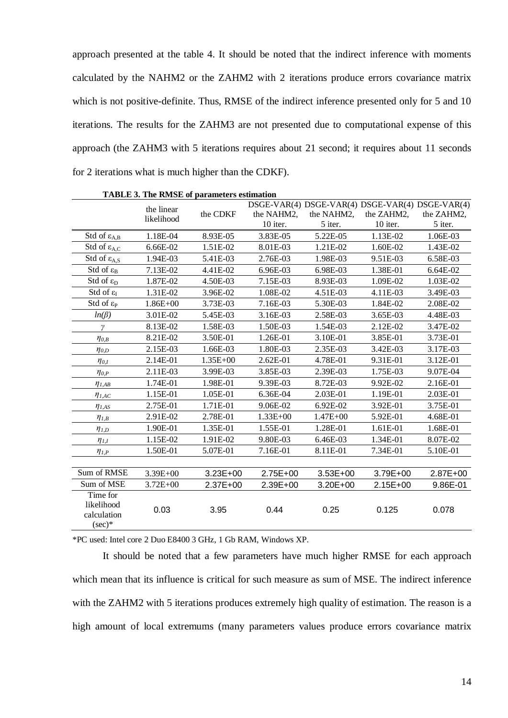approach presented at the table 4. It should be noted that the indirect inference with moments calculated by the NAHM2 or the ZAHM2 with 2 iterations produce errors covariance matrix which is not positive-definite. Thus, RMSE of the indirect inference presented only for 5 and 10 iterations. The results for the ZAHM3 are not presented due to computational expense of this approach (the ZAHM3 with 5 iterations requires about 21 second; it requires about 11 seconds for 2 iterations what is much higher than the CDKF).

| TADLE 3. The KNISE of parameters esumation |              |              |              |                                                 |            |            |
|--------------------------------------------|--------------|--------------|--------------|-------------------------------------------------|------------|------------|
|                                            | the linear   | the CDKF     |              | DSGE-VAR(4) DSGE-VAR(4) DSGE-VAR(4) DSGE-VAR(4) |            |            |
|                                            | likelihood   |              | the NAHM2,   | the NAHM2,                                      | the ZAHM2, | the ZAHM2, |
|                                            |              |              | 10 iter.     | 5 iter.                                         | 10 iter.   | 5 iter.    |
| Std of $\varepsilon_{A,B}$                 | 1.18E-04     | 8.93E-05     | 3.83E-05     | 5.22E-05                                        | 1.13E-02   | 1.06E-03   |
| Std of $\varepsilon_{A,C}$                 | 6.66E-02     | 1.51E-02     | 8.01E-03     | 1.21E-02                                        | 1.60E-02   | 1.43E-02   |
| Std of $\varepsilon_{A,S}$                 | 1.94E-03     | 5.41E-03     | 2.76E-03     | 1.98E-03                                        | 9.51E-03   | 6.58E-03   |
| Std of $\varepsilon_{B}$                   | 7.13E-02     | 4.41E-02     | 6.96E-03     | 6.98E-03                                        | 1.38E-01   | 6.64E-02   |
| Std of $\varepsilon_{D}$                   | 1.87E-02     | 4.50E-03     | 7.15E-03     | 8.93E-03                                        | 1.09E-02   | 1.03E-02   |
| Std of $\varepsilon_I$                     | 1.31E-02     | 3.96E-02     | 1.08E-02     | 4.51E-03                                        | 4.11E-03   | 3.49E-03   |
| Std of $\varepsilon_{P}$                   | $1.86E + 00$ | 3.73E-03     | 7.16E-03     | 5.30E-03                                        | 1.84E-02   | 2.08E-02   |
| $ln(\beta)$                                | 3.01E-02     | 5.45E-03     | 3.16E-03     | 2.58E-03                                        | 3.65E-03   | 4.48E-03   |
| $\gamma$                                   | 8.13E-02     | 1.58E-03     | 1.50E-03     | 1.54E-03                                        | 2.12E-02   | 3.47E-02   |
| $\eta_{0,B}$                               | 8.21E-02     | 3.50E-01     | 1.26E-01     | 3.10E-01                                        | 3.85E-01   | 3.73E-01   |
| $\eta_{0,D}$                               | 2.15E-03     | 1.66E-03     | 1.80E-03     | 2.35E-03                                        | 3.42E-03   | 3.17E-03   |
| $\eta_{0,I}$                               | 2.14E-01     | $1.35E + 00$ | 2.62E-01     | 4.78E-01                                        | 9.31E-01   | 3.12E-01   |
| $\eta_{0,P}$                               | 2.11E-03     | 3.99E-03     | 3.85E-03     | 2.39E-03                                        | 1.75E-03   | 9.07E-04   |
| $\eta_{I,AB}$                              | 1.74E-01     | 1.98E-01     | 9.39E-03     | 8.72E-03                                        | 9.92E-02   | 2.16E-01   |
| $\eta_{I,AC}$                              | 1.15E-01     | 1.05E-01     | 6.36E-04     | 2.03E-01                                        | 1.19E-01   | 2.03E-01   |
| $\eta_{I,AS}$                              | 2.75E-01     | 1.71E-01     | 9.06E-02     | 6.92E-02                                        | 3.92E-01   | 3.75E-01   |
| $\eta_{I,B}$                               | 2.91E-02     | 2.78E-01     | $1.33E + 00$ | $1.47E + 00$                                    | 5.92E-01   | 4.68E-01   |
| $\eta_{I,D}$                               | 1.90E-01     | 1.35E-01     | 1.55E-01     | 1.28E-01                                        | 1.61E-01   | 1.68E-01   |
| $\eta_{I,I}$                               | 1.15E-02     | 1.91E-02     | 9.80E-03     | 6.46E-03                                        | 1.34E-01   | 8.07E-02   |
| $\eta_{I,P}$                               | 1.50E-01     | 5.07E-01     | 7.16E-01     | 8.11E-01                                        | 7.34E-01   | 5.10E-01   |
|                                            |              |              |              |                                                 |            |            |
| Sum of RMSE                                | $3.39E + 00$ | $3.23E + 00$ | $2.75E+00$   | $3.53E + 00$                                    | 3.79E+00   | 2.87E+00   |
| Sum of MSE                                 | $3.72E + 00$ | 2.37E+00     | 2.39E+00     | 3.20E+00                                        | 2.15E+00   | 9.86E-01   |
| Time for                                   |              |              |              |                                                 |            |            |
| likelihood                                 | 0.03         | 3.95         | 0.44         | 0.25                                            | 0.125      | 0.078      |
| calculation                                |              |              |              |                                                 |            |            |
| $(\sec)*$                                  |              |              |              |                                                 |            |            |

**TABLE 3. The RMSE of parameters estimation**

\*PC used: Intel core 2 Duo E8400 3 GHz, 1 Gb RAM, Windows XP.

It should be noted that a few parameters have much higher RMSE for each approach which mean that its influence is critical for such measure as sum of MSE. The indirect inference with the ZAHM2 with 5 iterations produces extremely high quality of estimation. The reason is a high amount of local extremums (many parameters values produce errors covariance matrix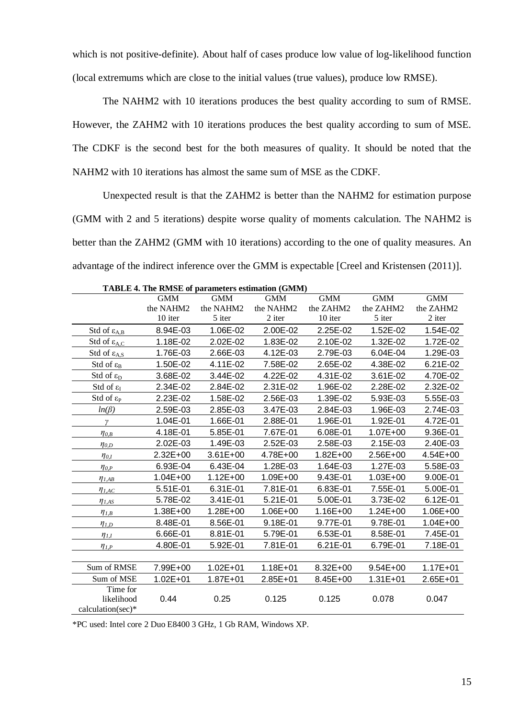which is not positive-definite). About half of cases produce low value of log-likelihood function (local extremums which are close to the initial values (true values), produce low RMSE).

The NAHM2 with 10 iterations produces the best quality according to sum of RMSE. However, the ZAHM2 with 10 iterations produces the best quality according to sum of MSE. The CDKF is the second best for the both measures of quality. It should be noted that the NAHM2 with 10 iterations has almost the same sum of MSE as the CDKF.

Unexpected result is that the ZAHM2 is better than the NAHM2 for estimation purpose (GMM with 2 and 5 iterations) despite worse quality of moments calculation. The NAHM2 is better than the ZAHM2 (GMM with 10 iterations) according to the one of quality measures. An advantage of the indirect inference over the GMM is expectable [Creel and Kristensen (2011)].

|                              | <b>TADLE 4. THE KNISE OF PARAMETERS ESUMMON (GIVINI)</b> |              |              |              |              |            |
|------------------------------|----------------------------------------------------------|--------------|--------------|--------------|--------------|------------|
|                              | <b>GMM</b>                                               | <b>GMM</b>   | <b>GMM</b>   | <b>GMM</b>   | <b>GMM</b>   | <b>GMM</b> |
|                              | the NAHM2                                                | the NAHM2    | the NAHM2    | the ZAHM2    | the ZAHM2    | the ZAHM2  |
|                              | 10 iter                                                  | 5 iter       | 2 iter       | 10 iter      | 5 iter       | 2 iter     |
| Std of $\varepsilon_{A,B}$   | 8.94E-03                                                 | 1.06E-02     | 2.00E-02     | 2.25E-02     | 1.52E-02     | 1.54E-02   |
| Std of $\varepsilon_{A,C}$   | 1.18E-02                                                 | 2.02E-02     | 1.83E-02     | 2.10E-02     | 1.32E-02     | 1.72E-02   |
| Std of $\varepsilon_{A,S}$   | 1.76E-03                                                 | 2.66E-03     | 4.12E-03     | 2.79E-03     | 6.04E-04     | 1.29E-03   |
| Std of $\varepsilon_{B}$     | 1.50E-02                                                 | 4.11E-02     | 7.58E-02     | 2.65E-02     | 4.38E-02     | 6.21E-02   |
| Std of $\varepsilon_{D}$     | 3.68E-02                                                 | 3.44E-02     | 4.22E-02     | 4.31E-02     | 3.61E-02     | 4.70E-02   |
| Std of $\varepsilon_I$       | 2.34E-02                                                 | 2.84E-02     | 2.31E-02     | 1.96E-02     | 2.28E-02     | 2.32E-02   |
| Std of $\varepsilon_{\rm P}$ | 2.23E-02                                                 | 1.58E-02     | 2.56E-03     | 1.39E-02     | 5.93E-03     | 5.55E-03   |
| $ln(\beta)$                  | 2.59E-03                                                 | 2.85E-03     | 3.47E-03     | 2.84E-03     | 1.96E-03     | 2.74E-03   |
| γ                            | 1.04E-01                                                 | 1.66E-01     | 2.88E-01     | 1.96E-01     | 1.92E-01     | 4.72E-01   |
| $\eta_{0,B}$                 | 4.18E-01                                                 | 5.85E-01     | 7.67E-01     | 6.08E-01     | 1.07E+00     | 9.36E-01   |
| $\eta_{0,D}$                 | 2.02E-03                                                 | 1.49E-03     | 2.52E-03     | 2.58E-03     | 2.15E-03     | 2.40E-03   |
| $\eta_{0,I}$                 | 2.32E+00                                                 | $3.61E + 00$ | 4.78E+00     | $1.82E + 00$ | 2.56E+00     | 4.54E+00   |
| $\eta_{0,P}$                 | 6.93E-04                                                 | 6.43E-04     | 1.28E-03     | 1.64E-03     | 1.27E-03     | 5.58E-03   |
| $\eta_{I,AB}$                | 1.04E+00                                                 | $1.12E + 00$ | 1.09E+00     | 9.43E-01     | 1.03E+00     | 9.00E-01   |
| $\eta_{I,AC}$                | 5.51E-01                                                 | 6.31E-01     | 7.81E-01     | 6.83E-01     | 7.55E-01     | 5.00E-01   |
| $\eta_{I,AS}$                | 5.78E-02                                                 | 3.41E-01     | 5.21E-01     | 5.00E-01     | 3.73E-02     | 6.12E-01   |
| $\eta_{I,B}$                 | 1.38E+00                                                 | 1.28E+00     | 1.06E+00     | 1.16E+00     | $1.24E + 00$ | 1.06E+00   |
| $\eta_{I,D}$                 | 8.48E-01                                                 | 8.56E-01     | 9.18E-01     | 9.77E-01     | 9.78E-01     | 1.04E+00   |
| $\eta_{1,I}$                 | 6.66E-01                                                 | 8.81E-01     | 5.79E-01     | 6.53E-01     | 8.58E-01     | 7.45E-01   |
| $\eta_{I,P}$                 | 4.80E-01                                                 | 5.92E-01     | 7.81E-01     | 6.21E-01     | 6.79E-01     | 7.18E-01   |
|                              |                                                          |              |              |              |              |            |
| Sum of RMSE                  | 7.99E+00                                                 | $1.02E + 01$ | $1.18E + 01$ | 8.32E+00     | $9.54E + 00$ | 1.17E+01   |
| Sum of MSE                   | $1.02E + 01$                                             | $1.87E + 01$ | $2.85E + 01$ | 8.45E+00     | $1.31E + 01$ | 2.65E+01   |
| Time for                     |                                                          |              |              |              |              |            |
| likelihood                   | 0.44                                                     | 0.25         | 0.125        | 0.125        | 0.078        | 0.047      |
| calculation(sec) $*$         |                                                          |              |              |              |              |            |

**TABLE 4. The RMSE of parameters estimation (GMM)**

\*PC used: Intel core 2 Duo E8400 3 GHz, 1 Gb RAM, Windows XP.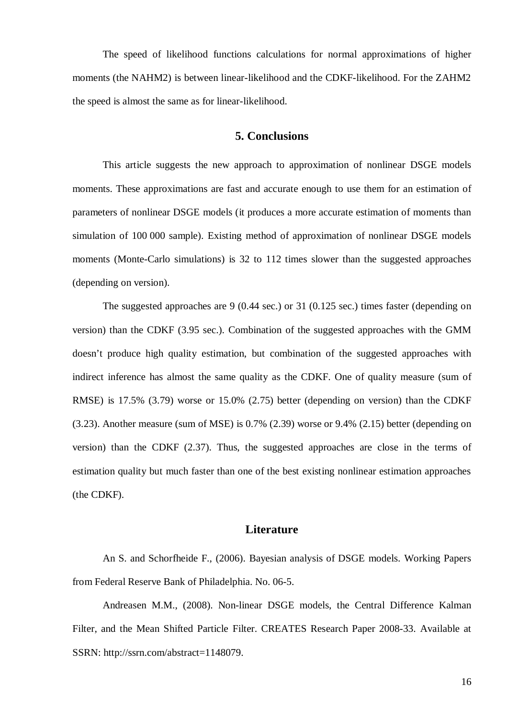The speed of likelihood functions calculations for normal approximations of higher moments (the NAHM2) is between linear-likelihood and the CDKF-likelihood. For the ZAHM2 the speed is almost the same as for linear-likelihood.

# **5. Conclusions**

This article suggests the new approach to approximation of nonlinear DSGE models moments. These approximations are fast and accurate enough to use them for an estimation of parameters of nonlinear DSGE models (it produces a more accurate estimation of moments than simulation of 100 000 sample). Existing method of approximation of nonlinear DSGE models moments (Monte-Carlo simulations) is 32 to 112 times slower than the suggested approaches (depending on version).

The suggested approaches are 9 (0.44 sec.) or 31 (0.125 sec.) times faster (depending on version) than the CDKF (3.95 sec.). Combination of the suggested approaches with the GMM doesn't produce high quality estimation, but combination of the suggested approaches with indirect inference has almost the same quality as the CDKF. One of quality measure (sum of RMSE) is 17.5% (3.79) worse or 15.0% (2.75) better (depending on version) than the CDKF (3.23). Another measure (sum of MSE) is 0.7% (2.39) worse or 9.4% (2.15) better (depending on version) than the CDKF (2.37). Thus, the suggested approaches are close in the terms of estimation quality but much faster than one of the best existing nonlinear estimation approaches (the CDKF).

#### **Literature**

An S. and Schorfheide F., (2006). Bayesian analysis of DSGE models. Working Papers from Federal Reserve Bank of Philadelphia. No. 06-5.

Andreasen M.M., (2008). Non-linear DSGE models, the Central Difference Kalman Filter, and the Mean Shifted Particle Filter. CREATES Research Paper 2008-33. Available at SSRN: [http://ssrn.com/abstract=](http://ssrn.com/abstract)1148079.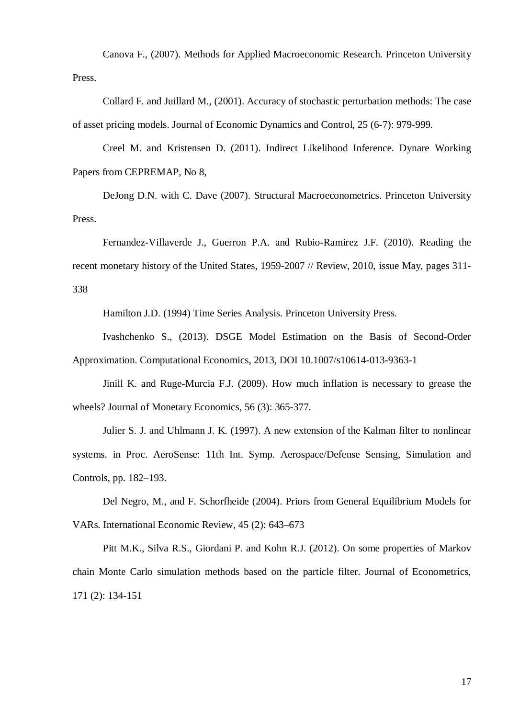Canova F., (2007). Methods for Applied Macroeconomic Research. Princeton University Press.

Collard F. and Juillard M., (2001). Accuracy of stochastic perturbation methods: The case of asset pricing models. Journal of Economic Dynamics and Control, 25 (6-7): 979-999.

Creel M. and Kristensen D. (2011). Indirect Likelihood Inference. Dynare Working Papers from CEPREMAP, No 8,

DeJong D.N. with C. Dave (2007). Structural Macroeconometrics. Princeton University Press.

Fernandez-Villaverde J., Guerron P.A. and Rubio-Ramirez J.F. (2010). Reading the recent monetary history of the United States, 1959-2007 // Review, 2010, issue May, pages 311- 338

Hamilton J.D. (1994) Time Series Analysis. Princeton University Press.

Ivashchenko S., (2013). DSGE Model Estimation on the Basis of Second-Order Approximation. Computational Economics, 2013, DOI 10.1007/s10614-013-9363-1

Jinill K. and Ruge-Murcia F.J. (2009). How much inflation is necessary to grease the wheels? Journal of Monetary Economics, 56 (3): 365-377.

Julier S. J. and Uhlmann J. K. (1997). A new extension of the Kalman filter to nonlinear systems. in Proc. AeroSense: 11th Int. Symp. Aerospace/Defense Sensing, Simulation and Controls, pp. 182–193.

Del Negro, M., and F. Schorfheide (2004). Priors from General Equilibrium Models for VARs. International Economic Review, 45 (2): 643–673

Pitt M.K., Silva R.S., Giordani P. and Kohn R.J. (2012). On some properties of Markov chain Monte Carlo simulation methods based on the particle filter. Journal of Econometrics, 171 (2): 134-151